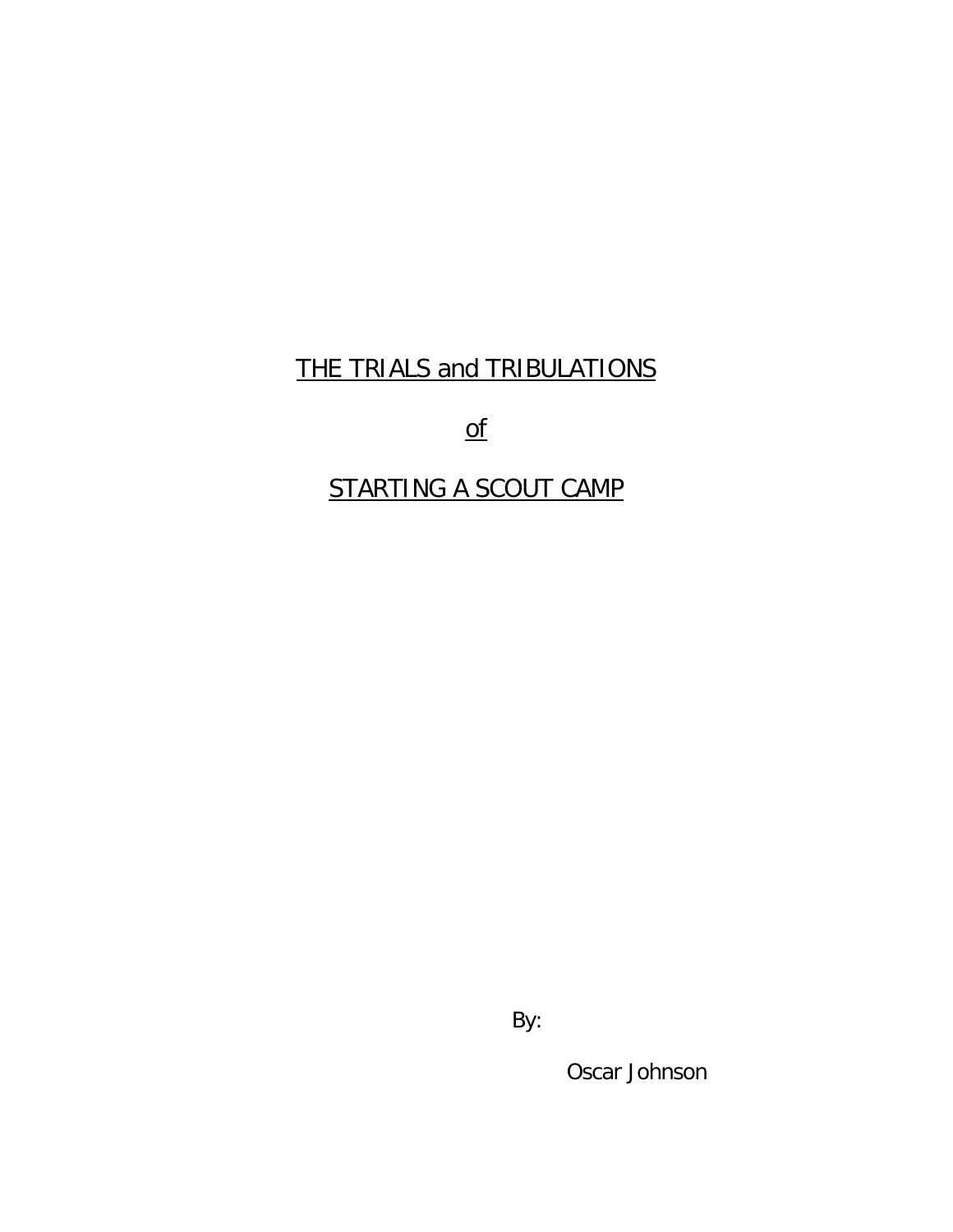## THE TRIALS and TRIBULATIONS

of

## STARTING A SCOUT CAMP

By:

Oscar Johnson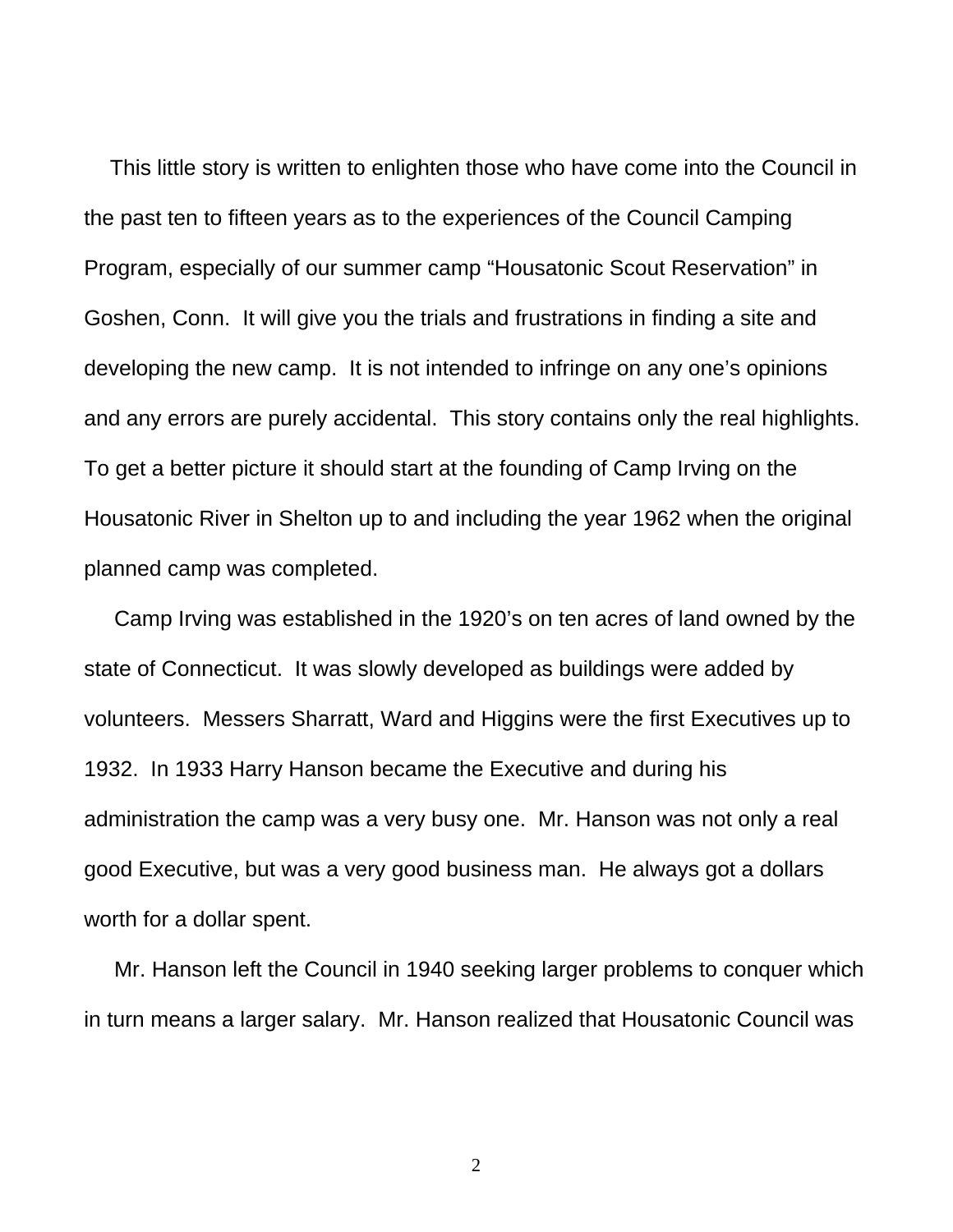This little story is written to enlighten those who have come into the Council in the past ten to fifteen years as to the experiences of the Council Camping Program, especially of our summer camp "Housatonic Scout Reservation" in Goshen, Conn. It will give you the trials and frustrations in finding a site and developing the new camp. It is not intended to infringe on any one's opinions and any errors are purely accidental. This story contains only the real highlights. To get a better picture it should start at the founding of Camp Irving on the Housatonic River in Shelton up to and including the year 1962 when the original planned camp was completed.

 Camp Irving was established in the 1920's on ten acres of land owned by the state of Connecticut. It was slowly developed as buildings were added by volunteers. Messers Sharratt, Ward and Higgins were the first Executives up to 1932. In 1933 Harry Hanson became the Executive and during his administration the camp was a very busy one. Mr. Hanson was not only a real good Executive, but was a very good business man. He always got a dollars worth for a dollar spent.

 Mr. Hanson left the Council in 1940 seeking larger problems to conquer which in turn means a larger salary. Mr. Hanson realized that Housatonic Council was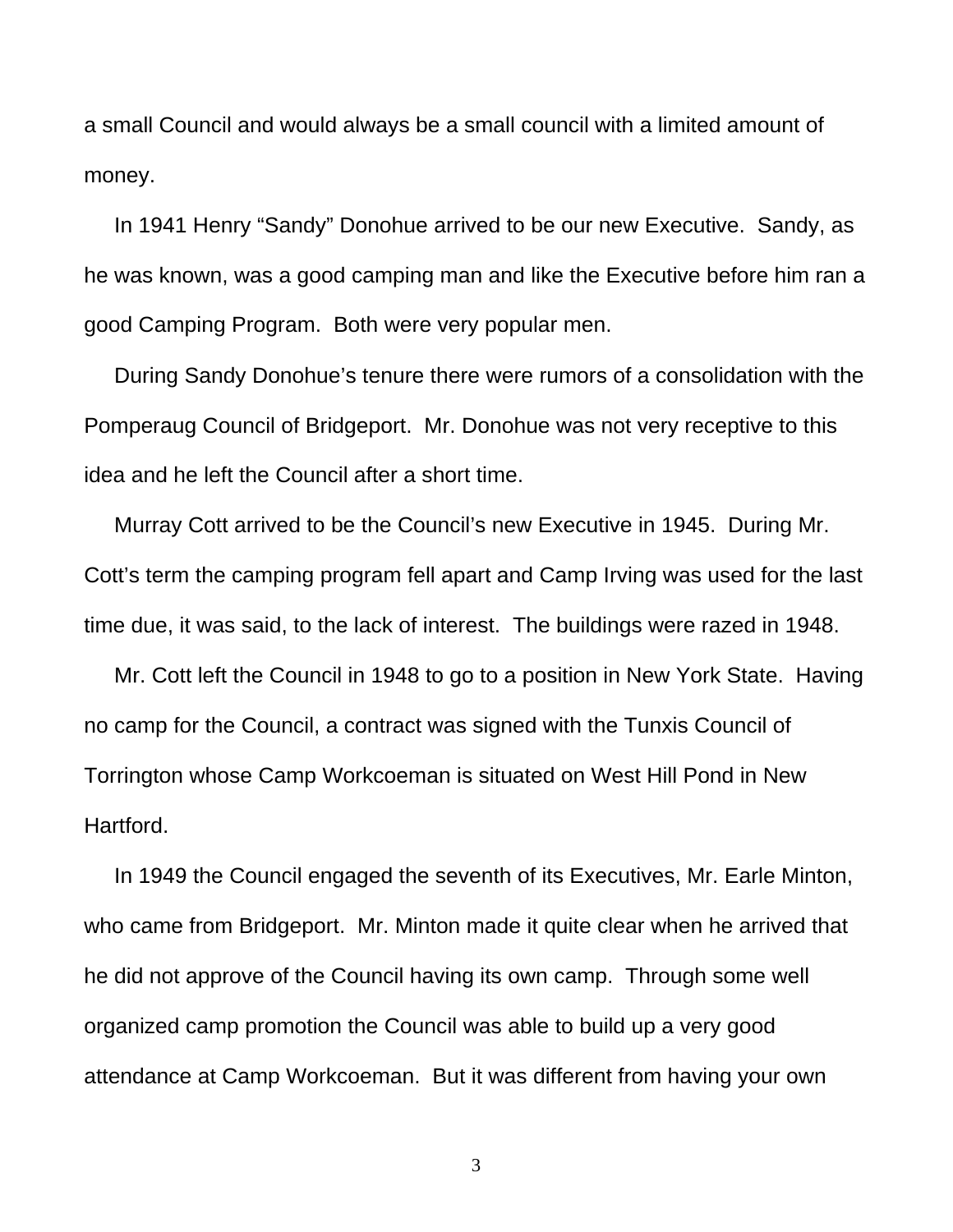a small Council and would always be a small council with a limited amount of money.

 In 1941 Henry "Sandy" Donohue arrived to be our new Executive. Sandy, as he was known, was a good camping man and like the Executive before him ran a good Camping Program. Both were very popular men.

 During Sandy Donohue's tenure there were rumors of a consolidation with the Pomperaug Council of Bridgeport. Mr. Donohue was not very receptive to this idea and he left the Council after a short time.

 Murray Cott arrived to be the Council's new Executive in 1945. During Mr. Cott's term the camping program fell apart and Camp Irving was used for the last time due, it was said, to the lack of interest. The buildings were razed in 1948.

 Mr. Cott left the Council in 1948 to go to a position in New York State. Having no camp for the Council, a contract was signed with the Tunxis Council of Torrington whose Camp Workcoeman is situated on West Hill Pond in New Hartford.

 In 1949 the Council engaged the seventh of its Executives, Mr. Earle Minton, who came from Bridgeport. Mr. Minton made it quite clear when he arrived that he did not approve of the Council having its own camp. Through some well organized camp promotion the Council was able to build up a very good attendance at Camp Workcoeman. But it was different from having your own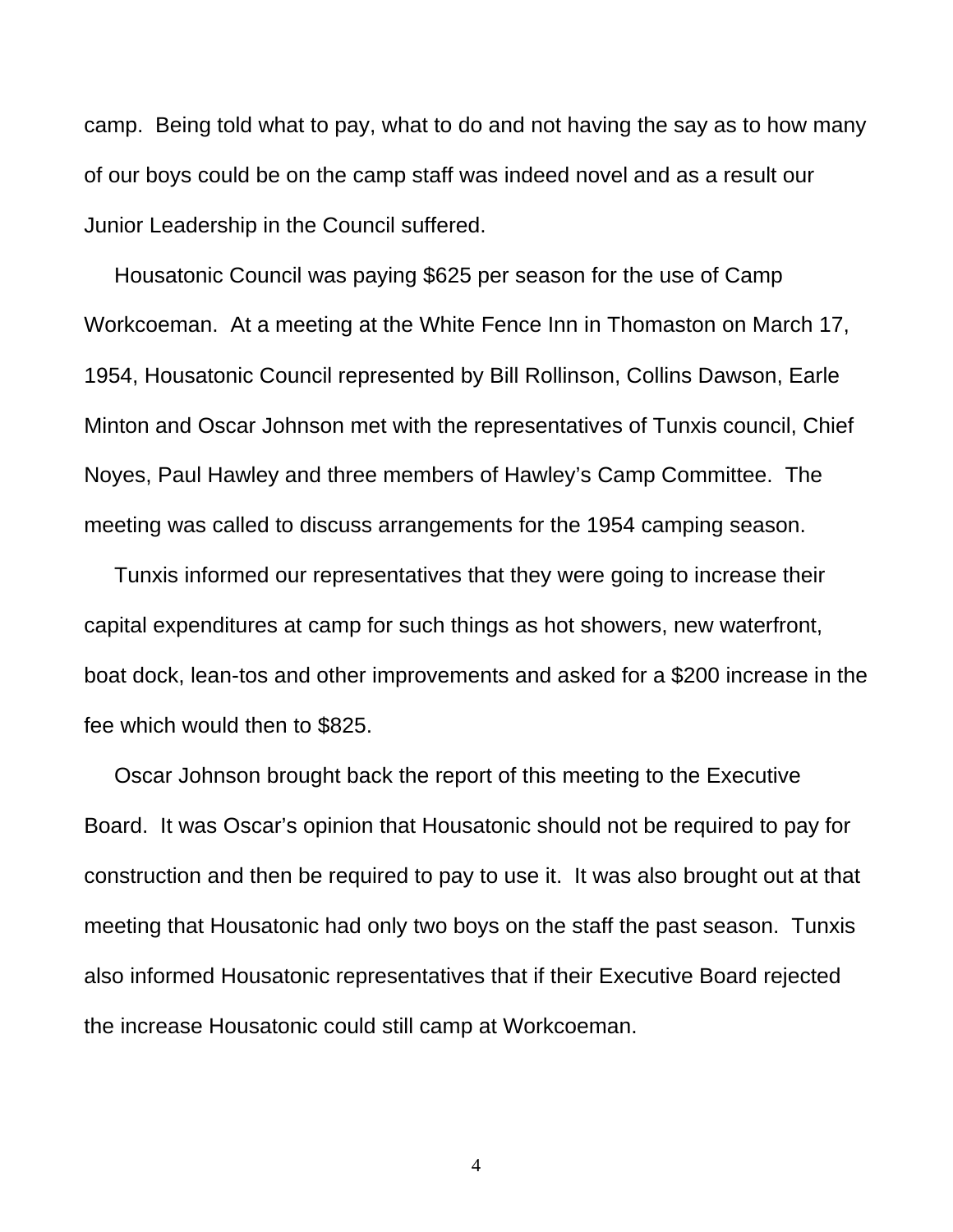camp. Being told what to pay, what to do and not having the say as to how many of our boys could be on the camp staff was indeed novel and as a result our Junior Leadership in the Council suffered.

 Housatonic Council was paying \$625 per season for the use of Camp Workcoeman. At a meeting at the White Fence Inn in Thomaston on March 17, 1954, Housatonic Council represented by Bill Rollinson, Collins Dawson, Earle Minton and Oscar Johnson met with the representatives of Tunxis council, Chief Noyes, Paul Hawley and three members of Hawley's Camp Committee. The meeting was called to discuss arrangements for the 1954 camping season.

 Tunxis informed our representatives that they were going to increase their capital expenditures at camp for such things as hot showers, new waterfront, boat dock, lean-tos and other improvements and asked for a \$200 increase in the fee which would then to \$825.

 Oscar Johnson brought back the report of this meeting to the Executive Board. It was Oscar's opinion that Housatonic should not be required to pay for construction and then be required to pay to use it. It was also brought out at that meeting that Housatonic had only two boys on the staff the past season. Tunxis also informed Housatonic representatives that if their Executive Board rejected the increase Housatonic could still camp at Workcoeman.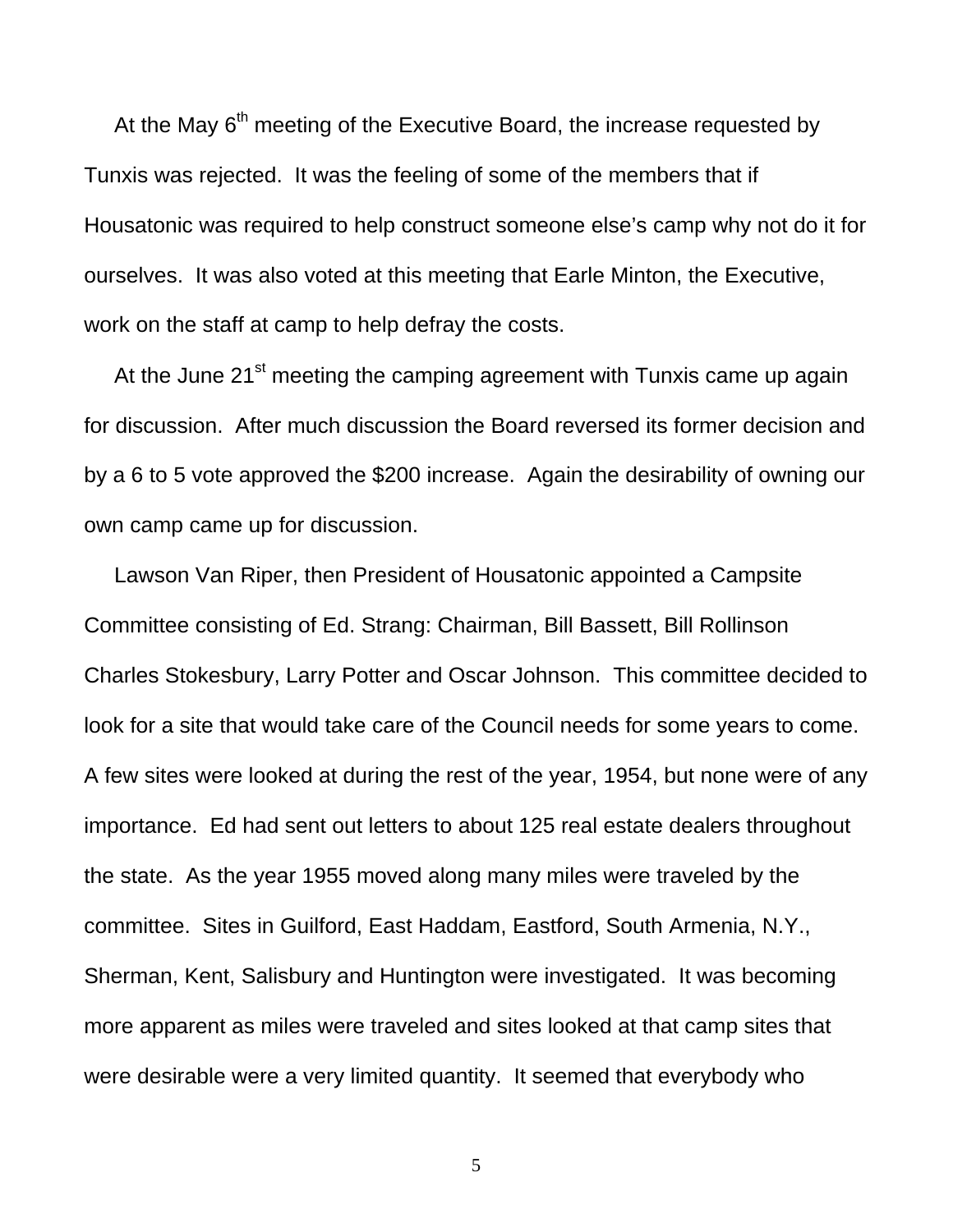At the May  $6<sup>th</sup>$  meeting of the Executive Board, the increase requested by Tunxis was rejected. It was the feeling of some of the members that if Housatonic was required to help construct someone else's camp why not do it for ourselves. It was also voted at this meeting that Earle Minton, the Executive, work on the staff at camp to help defray the costs.

At the June 21<sup>st</sup> meeting the camping agreement with Tunxis came up again for discussion. After much discussion the Board reversed its former decision and by a 6 to 5 vote approved the \$200 increase. Again the desirability of owning our own camp came up for discussion.

 Lawson Van Riper, then President of Housatonic appointed a Campsite Committee consisting of Ed. Strang: Chairman, Bill Bassett, Bill Rollinson Charles Stokesbury, Larry Potter and Oscar Johnson. This committee decided to look for a site that would take care of the Council needs for some years to come. A few sites were looked at during the rest of the year, 1954, but none were of any importance. Ed had sent out letters to about 125 real estate dealers throughout the state. As the year 1955 moved along many miles were traveled by the committee. Sites in Guilford, East Haddam, Eastford, South Armenia, N.Y., Sherman, Kent, Salisbury and Huntington were investigated. It was becoming more apparent as miles were traveled and sites looked at that camp sites that were desirable were a very limited quantity. It seemed that everybody who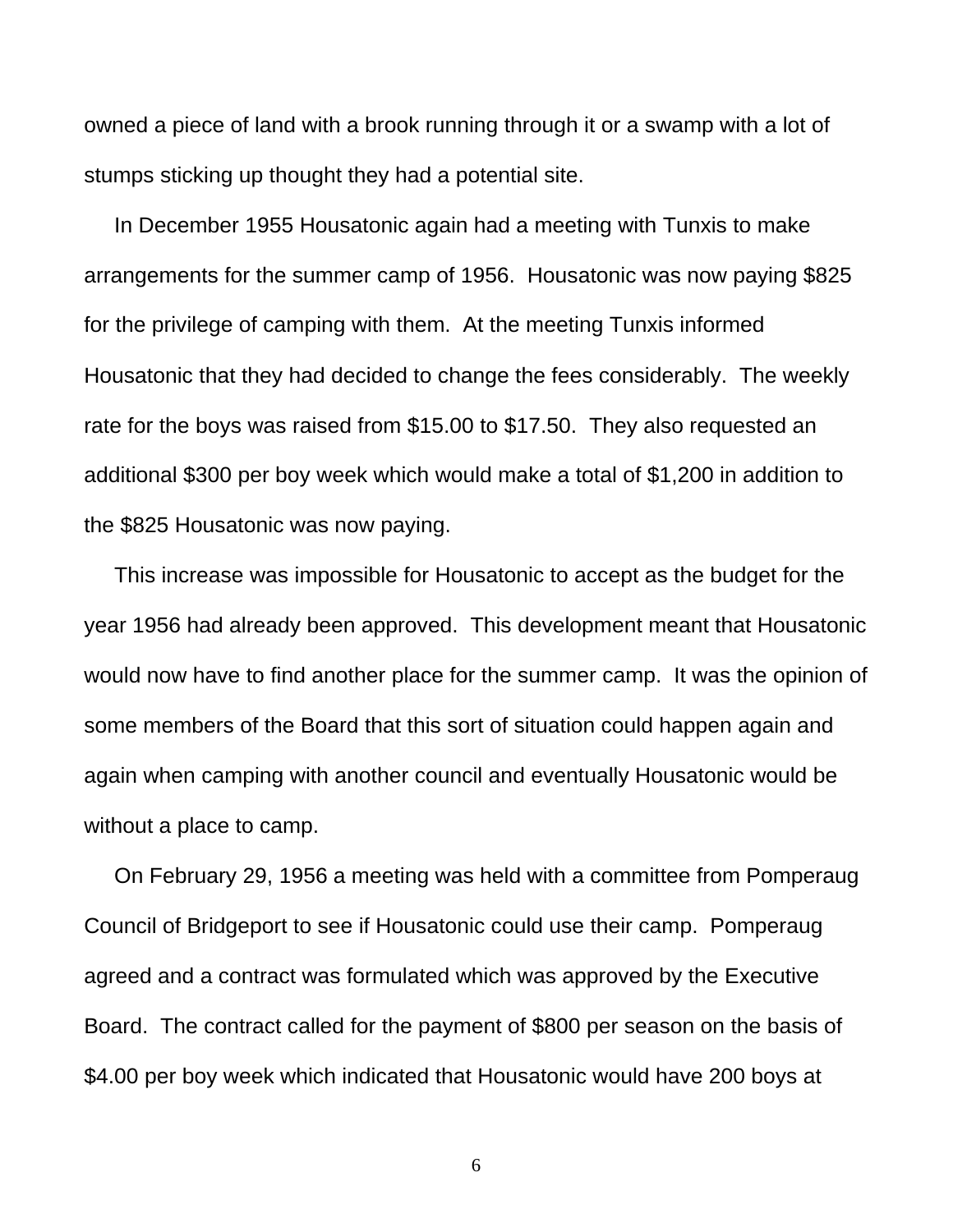owned a piece of land with a brook running through it or a swamp with a lot of stumps sticking up thought they had a potential site.

 In December 1955 Housatonic again had a meeting with Tunxis to make arrangements for the summer camp of 1956. Housatonic was now paying \$825 for the privilege of camping with them. At the meeting Tunxis informed Housatonic that they had decided to change the fees considerably. The weekly rate for the boys was raised from \$15.00 to \$17.50. They also requested an additional \$300 per boy week which would make a total of \$1,200 in addition to the \$825 Housatonic was now paying.

 This increase was impossible for Housatonic to accept as the budget for the year 1956 had already been approved. This development meant that Housatonic would now have to find another place for the summer camp. It was the opinion of some members of the Board that this sort of situation could happen again and again when camping with another council and eventually Housatonic would be without a place to camp.

 On February 29, 1956 a meeting was held with a committee from Pomperaug Council of Bridgeport to see if Housatonic could use their camp. Pomperaug agreed and a contract was formulated which was approved by the Executive Board. The contract called for the payment of \$800 per season on the basis of \$4.00 per boy week which indicated that Housatonic would have 200 boys at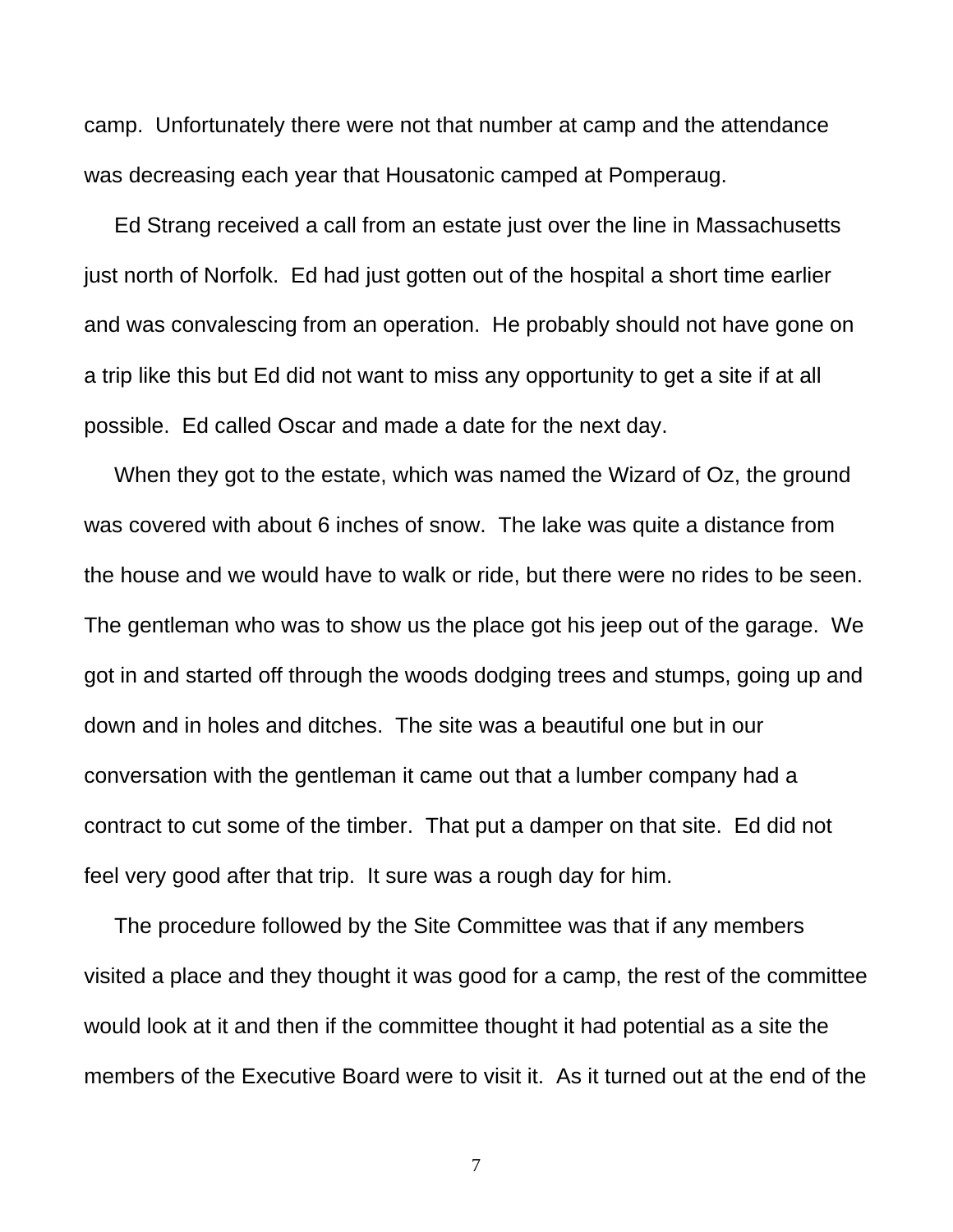camp. Unfortunately there were not that number at camp and the attendance was decreasing each year that Housatonic camped at Pomperaug.

 Ed Strang received a call from an estate just over the line in Massachusetts just north of Norfolk. Ed had just gotten out of the hospital a short time earlier and was convalescing from an operation. He probably should not have gone on a trip like this but Ed did not want to miss any opportunity to get a site if at all possible. Ed called Oscar and made a date for the next day.

 When they got to the estate, which was named the Wizard of Oz, the ground was covered with about 6 inches of snow. The lake was quite a distance from the house and we would have to walk or ride, but there were no rides to be seen. The gentleman who was to show us the place got his jeep out of the garage. We got in and started off through the woods dodging trees and stumps, going up and down and in holes and ditches. The site was a beautiful one but in our conversation with the gentleman it came out that a lumber company had a contract to cut some of the timber. That put a damper on that site. Ed did not feel very good after that trip. It sure was a rough day for him.

 The procedure followed by the Site Committee was that if any members visited a place and they thought it was good for a camp, the rest of the committee would look at it and then if the committee thought it had potential as a site the members of the Executive Board were to visit it. As it turned out at the end of the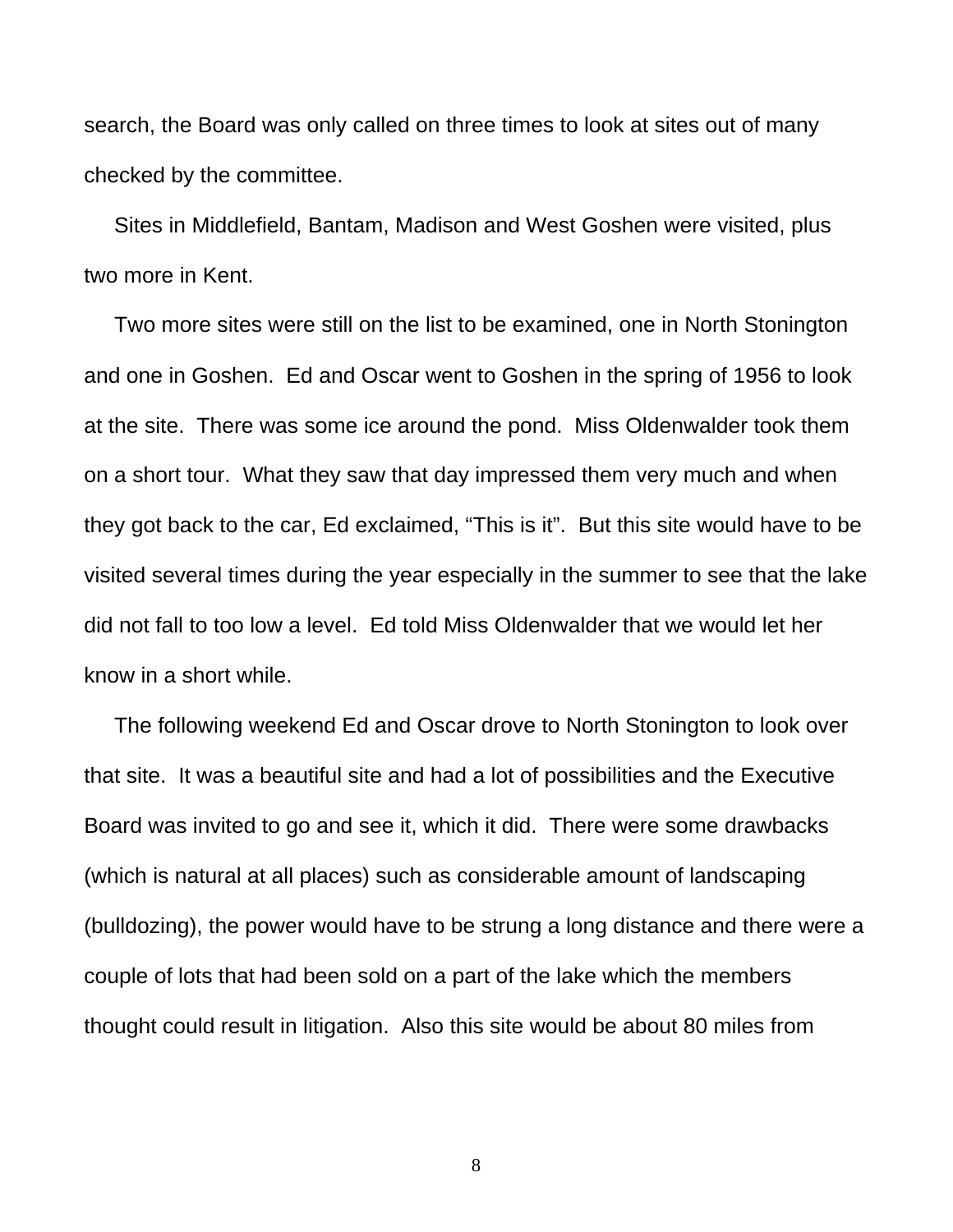search, the Board was only called on three times to look at sites out of many checked by the committee.

 Sites in Middlefield, Bantam, Madison and West Goshen were visited, plus two more in Kent.

 Two more sites were still on the list to be examined, one in North Stonington and one in Goshen. Ed and Oscar went to Goshen in the spring of 1956 to look at the site. There was some ice around the pond. Miss Oldenwalder took them on a short tour. What they saw that day impressed them very much and when they got back to the car, Ed exclaimed, "This is it". But this site would have to be visited several times during the year especially in the summer to see that the lake did not fall to too low a level. Ed told Miss Oldenwalder that we would let her know in a short while.

 The following weekend Ed and Oscar drove to North Stonington to look over that site. It was a beautiful site and had a lot of possibilities and the Executive Board was invited to go and see it, which it did. There were some drawbacks (which is natural at all places) such as considerable amount of landscaping (bulldozing), the power would have to be strung a long distance and there were a couple of lots that had been sold on a part of the lake which the members thought could result in litigation. Also this site would be about 80 miles from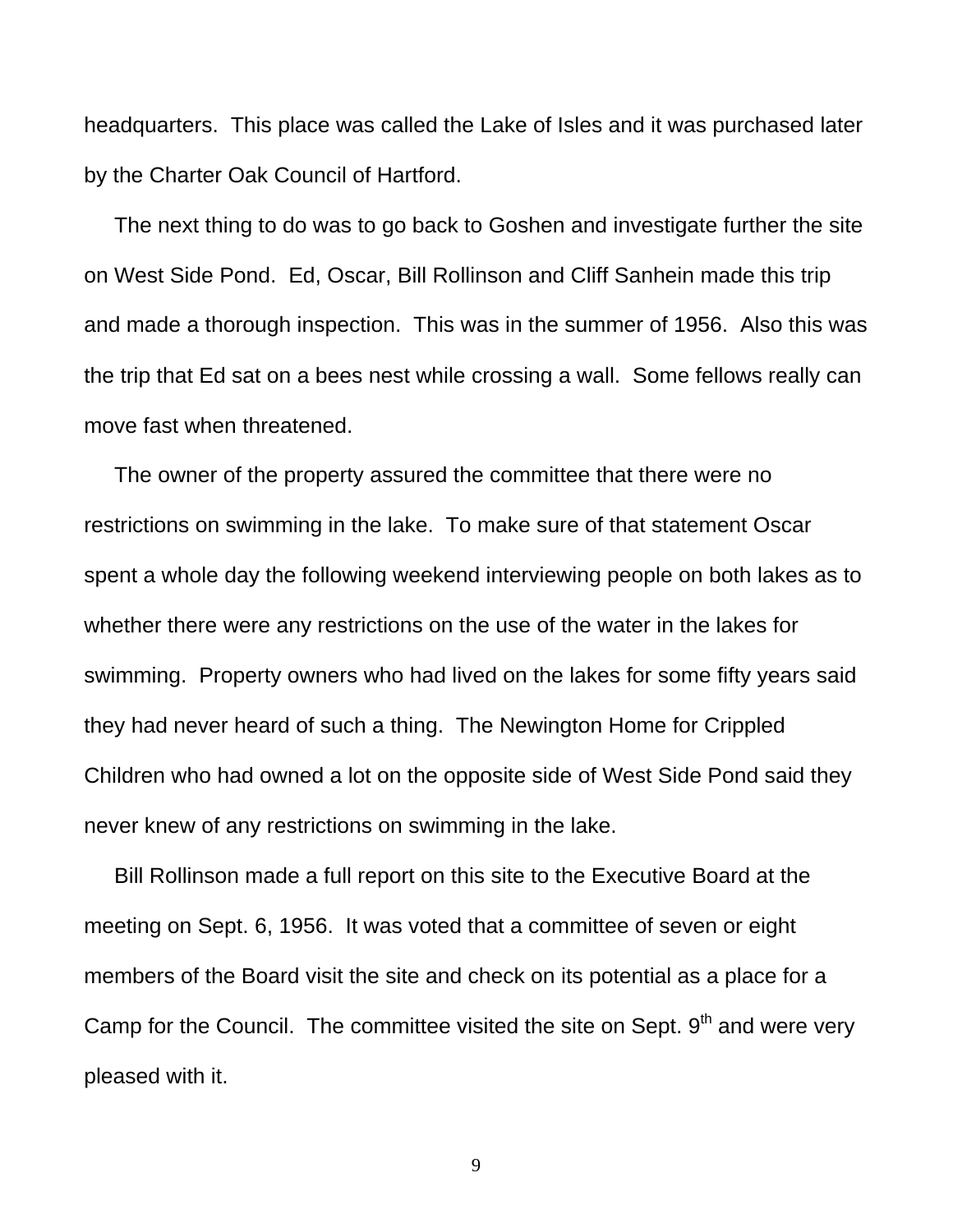headquarters. This place was called the Lake of Isles and it was purchased later by the Charter Oak Council of Hartford.

 The next thing to do was to go back to Goshen and investigate further the site on West Side Pond. Ed, Oscar, Bill Rollinson and Cliff Sanhein made this trip and made a thorough inspection. This was in the summer of 1956. Also this was the trip that Ed sat on a bees nest while crossing a wall. Some fellows really can move fast when threatened.

 The owner of the property assured the committee that there were no restrictions on swimming in the lake. To make sure of that statement Oscar spent a whole day the following weekend interviewing people on both lakes as to whether there were any restrictions on the use of the water in the lakes for swimming. Property owners who had lived on the lakes for some fifty years said they had never heard of such a thing. The Newington Home for Crippled Children who had owned a lot on the opposite side of West Side Pond said they never knew of any restrictions on swimming in the lake.

 Bill Rollinson made a full report on this site to the Executive Board at the meeting on Sept. 6, 1956. It was voted that a committee of seven or eight members of the Board visit the site and check on its potential as a place for a Camp for the Council. The committee visited the site on Sept. 9<sup>th</sup> and were very pleased with it.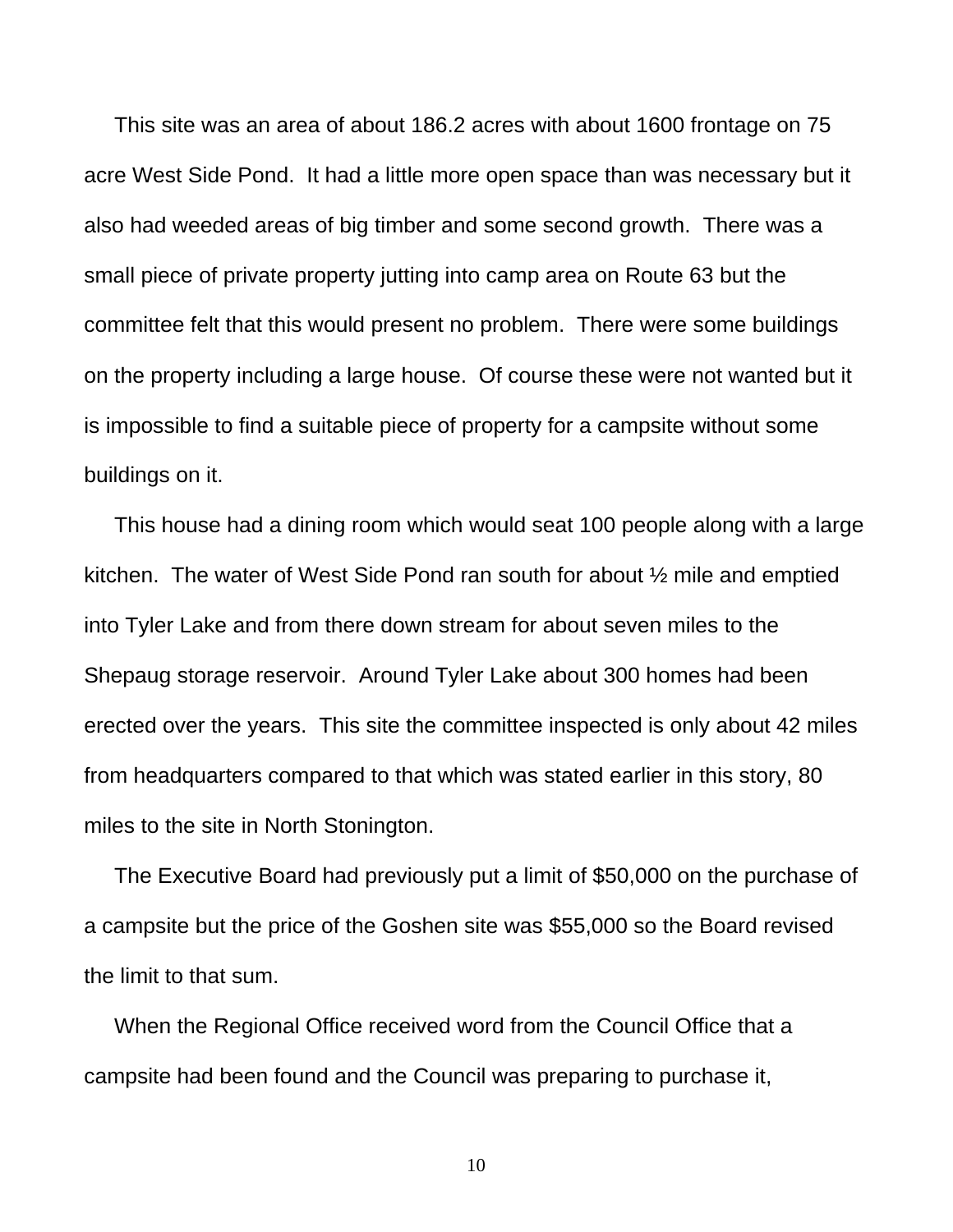This site was an area of about 186.2 acres with about 1600 frontage on 75 acre West Side Pond. It had a little more open space than was necessary but it also had weeded areas of big timber and some second growth. There was a small piece of private property jutting into camp area on Route 63 but the committee felt that this would present no problem. There were some buildings on the property including a large house. Of course these were not wanted but it is impossible to find a suitable piece of property for a campsite without some buildings on it.

 This house had a dining room which would seat 100 people along with a large kitchen. The water of West Side Pond ran south for about ½ mile and emptied into Tyler Lake and from there down stream for about seven miles to the Shepaug storage reservoir. Around Tyler Lake about 300 homes had been erected over the years. This site the committee inspected is only about 42 miles from headquarters compared to that which was stated earlier in this story, 80 miles to the site in North Stonington.

 The Executive Board had previously put a limit of \$50,000 on the purchase of a campsite but the price of the Goshen site was \$55,000 so the Board revised the limit to that sum.

 When the Regional Office received word from the Council Office that a campsite had been found and the Council was preparing to purchase it,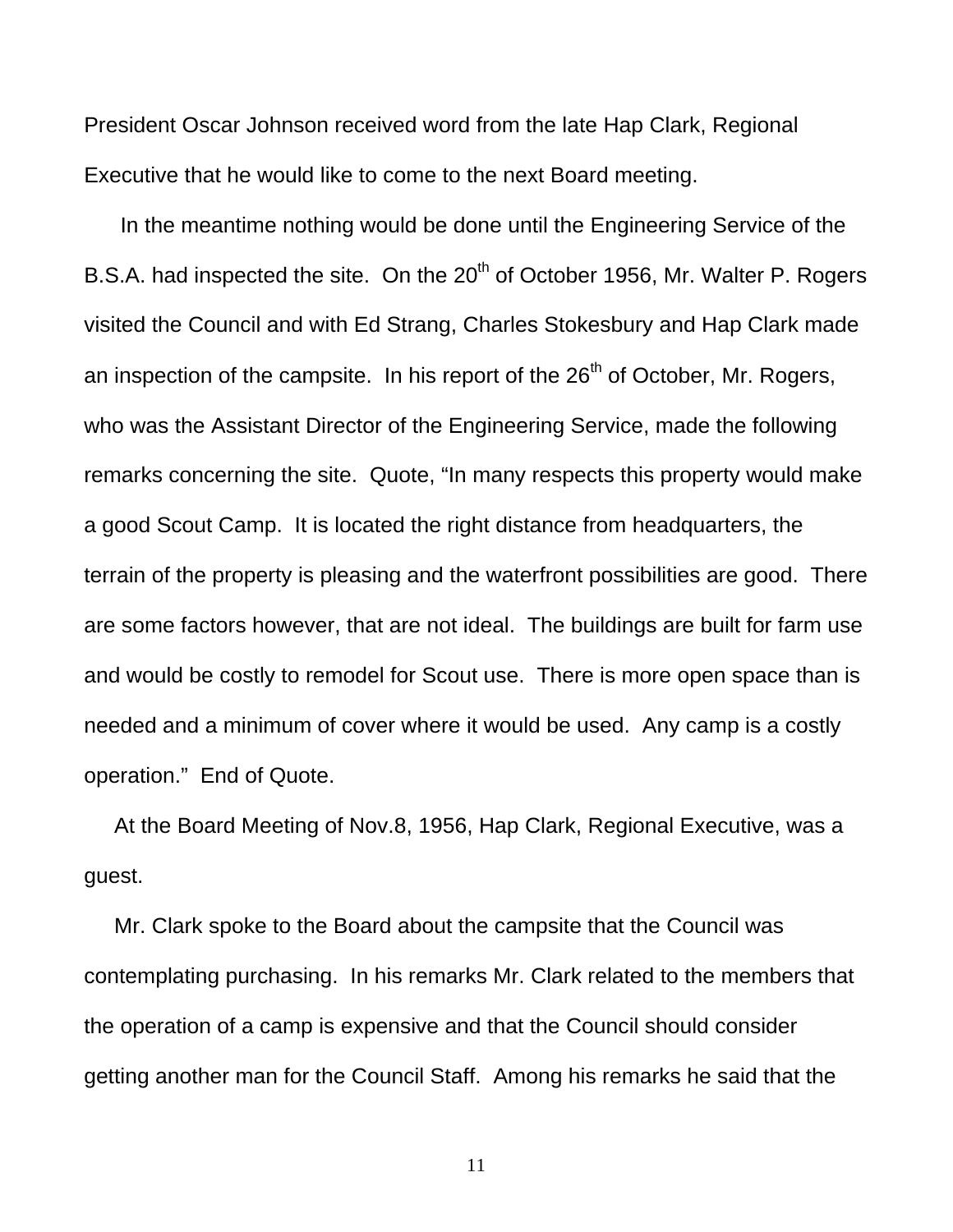President Oscar Johnson received word from the late Hap Clark, Regional Executive that he would like to come to the next Board meeting.

 In the meantime nothing would be done until the Engineering Service of the B.S.A. had inspected the site. On the  $20<sup>th</sup>$  of October 1956, Mr. Walter P. Rogers visited the Council and with Ed Strang, Charles Stokesbury and Hap Clark made an inspection of the campsite. In his report of the  $26<sup>th</sup>$  of October, Mr. Rogers, who was the Assistant Director of the Engineering Service, made the following remarks concerning the site. Quote, "In many respects this property would make a good Scout Camp. It is located the right distance from headquarters, the terrain of the property is pleasing and the waterfront possibilities are good. There are some factors however, that are not ideal. The buildings are built for farm use and would be costly to remodel for Scout use. There is more open space than is needed and a minimum of cover where it would be used. Any camp is a costly operation." End of Quote.

 At the Board Meeting of Nov.8, 1956, Hap Clark, Regional Executive, was a guest.

 Mr. Clark spoke to the Board about the campsite that the Council was contemplating purchasing. In his remarks Mr. Clark related to the members that the operation of a camp is expensive and that the Council should consider getting another man for the Council Staff. Among his remarks he said that the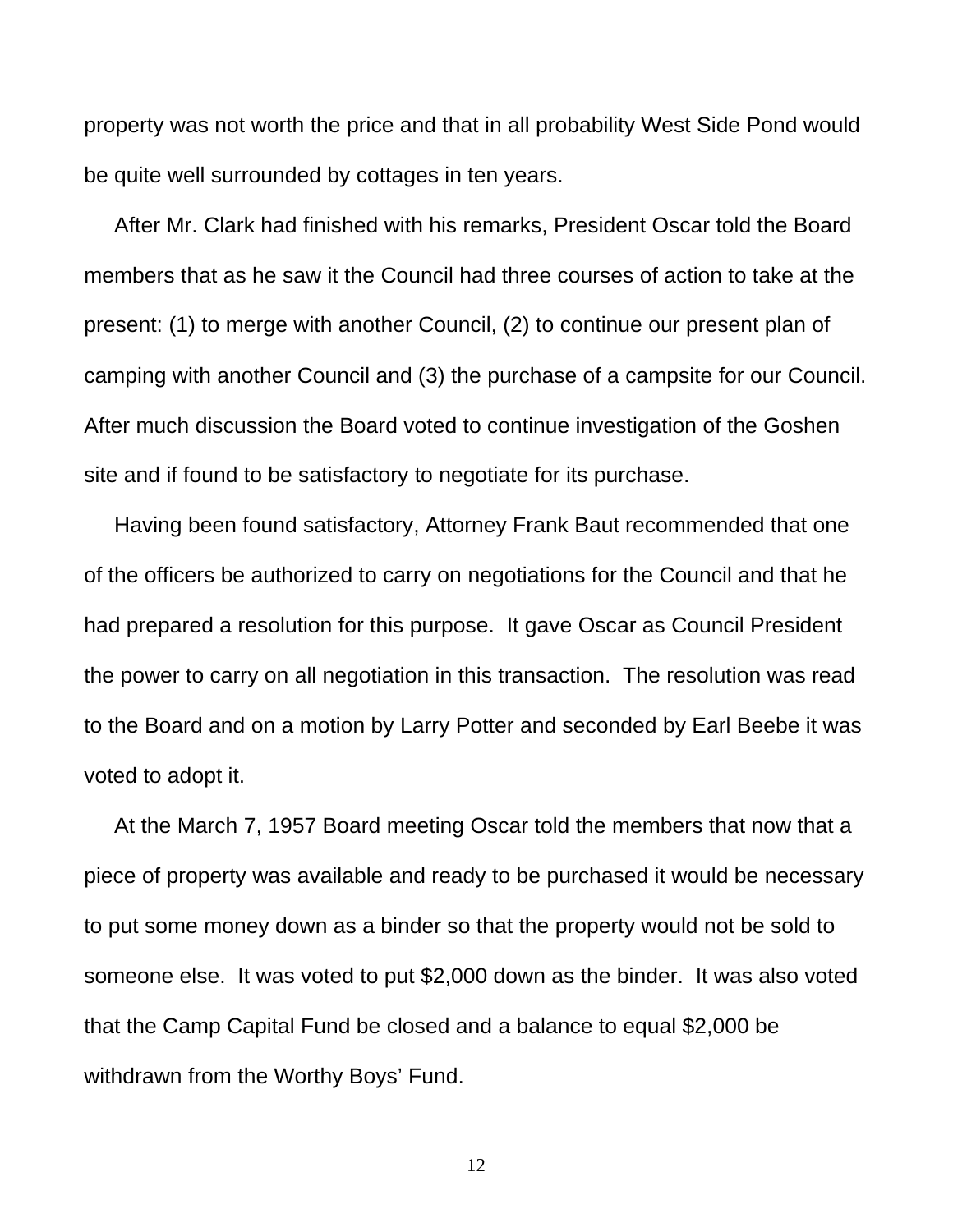property was not worth the price and that in all probability West Side Pond would be quite well surrounded by cottages in ten years.

 After Mr. Clark had finished with his remarks, President Oscar told the Board members that as he saw it the Council had three courses of action to take at the present: (1) to merge with another Council, (2) to continue our present plan of camping with another Council and (3) the purchase of a campsite for our Council. After much discussion the Board voted to continue investigation of the Goshen site and if found to be satisfactory to negotiate for its purchase.

 Having been found satisfactory, Attorney Frank Baut recommended that one of the officers be authorized to carry on negotiations for the Council and that he had prepared a resolution for this purpose. It gave Oscar as Council President the power to carry on all negotiation in this transaction. The resolution was read to the Board and on a motion by Larry Potter and seconded by Earl Beebe it was voted to adopt it.

 At the March 7, 1957 Board meeting Oscar told the members that now that a piece of property was available and ready to be purchased it would be necessary to put some money down as a binder so that the property would not be sold to someone else. It was voted to put \$2,000 down as the binder. It was also voted that the Camp Capital Fund be closed and a balance to equal \$2,000 be withdrawn from the Worthy Boys' Fund.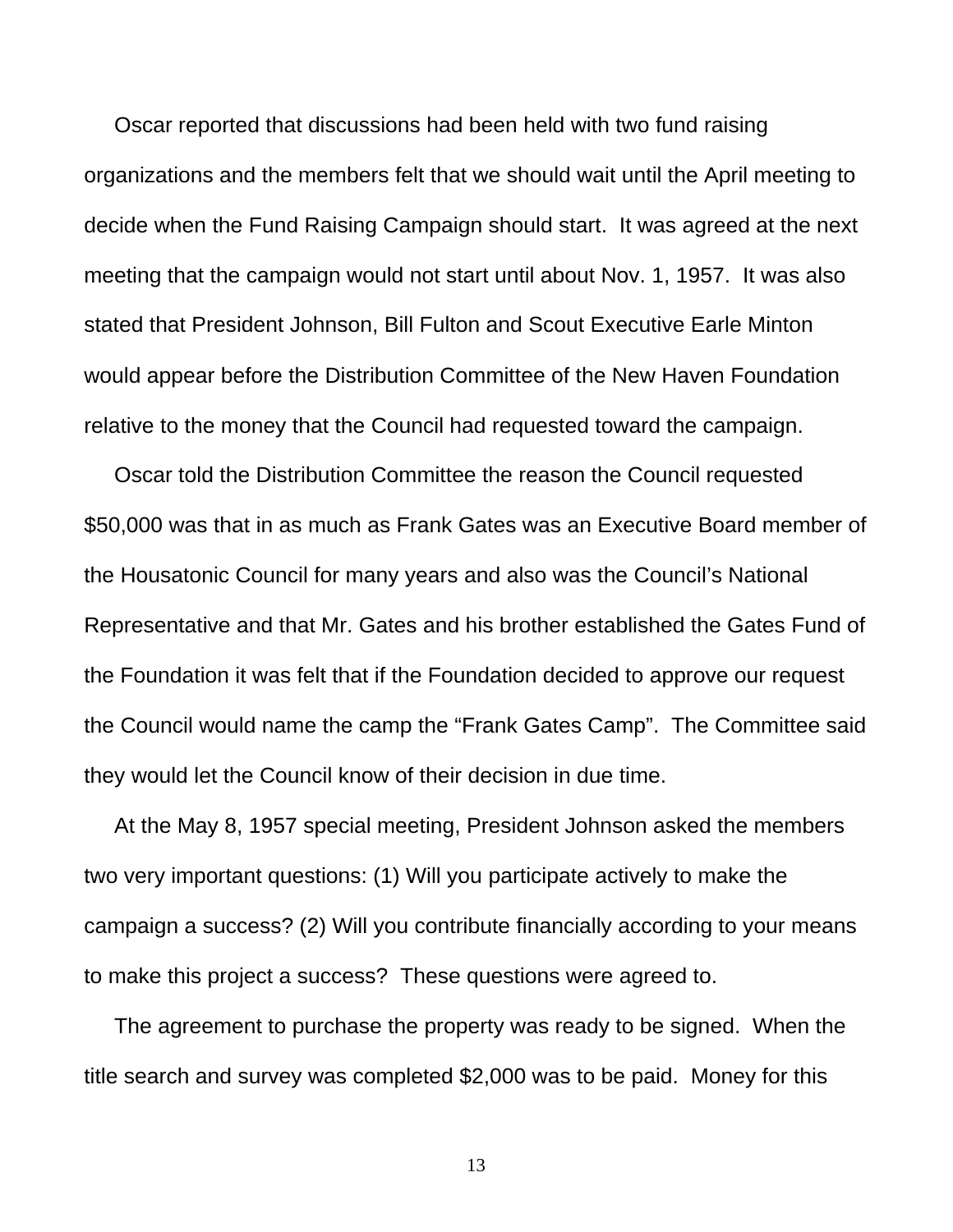Oscar reported that discussions had been held with two fund raising organizations and the members felt that we should wait until the April meeting to decide when the Fund Raising Campaign should start. It was agreed at the next meeting that the campaign would not start until about Nov. 1, 1957. It was also stated that President Johnson, Bill Fulton and Scout Executive Earle Minton would appear before the Distribution Committee of the New Haven Foundation relative to the money that the Council had requested toward the campaign.

 Oscar told the Distribution Committee the reason the Council requested \$50,000 was that in as much as Frank Gates was an Executive Board member of the Housatonic Council for many years and also was the Council's National Representative and that Mr. Gates and his brother established the Gates Fund of the Foundation it was felt that if the Foundation decided to approve our request the Council would name the camp the "Frank Gates Camp". The Committee said they would let the Council know of their decision in due time.

 At the May 8, 1957 special meeting, President Johnson asked the members two very important questions: (1) Will you participate actively to make the campaign a success? (2) Will you contribute financially according to your means to make this project a success? These questions were agreed to.

 The agreement to purchase the property was ready to be signed. When the title search and survey was completed \$2,000 was to be paid. Money for this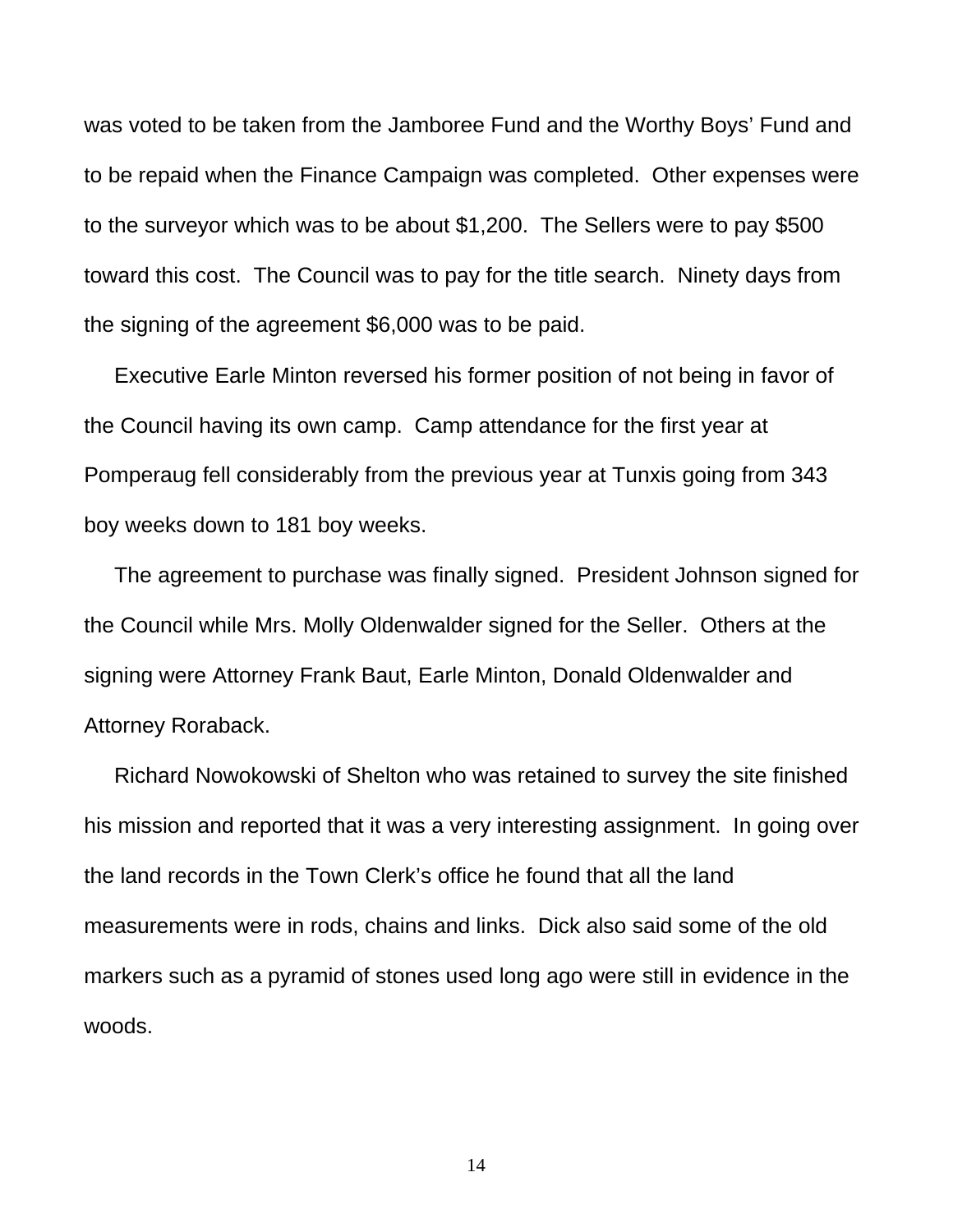was voted to be taken from the Jamboree Fund and the Worthy Boys' Fund and to be repaid when the Finance Campaign was completed. Other expenses were to the surveyor which was to be about \$1,200. The Sellers were to pay \$500 toward this cost. The Council was to pay for the title search. Ninety days from the signing of the agreement \$6,000 was to be paid.

 Executive Earle Minton reversed his former position of not being in favor of the Council having its own camp. Camp attendance for the first year at Pomperaug fell considerably from the previous year at Tunxis going from 343 boy weeks down to 181 boy weeks.

 The agreement to purchase was finally signed. President Johnson signed for the Council while Mrs. Molly Oldenwalder signed for the Seller. Others at the signing were Attorney Frank Baut, Earle Minton, Donald Oldenwalder and Attorney Roraback.

 Richard Nowokowski of Shelton who was retained to survey the site finished his mission and reported that it was a very interesting assignment. In going over the land records in the Town Clerk's office he found that all the land measurements were in rods, chains and links. Dick also said some of the old markers such as a pyramid of stones used long ago were still in evidence in the woods.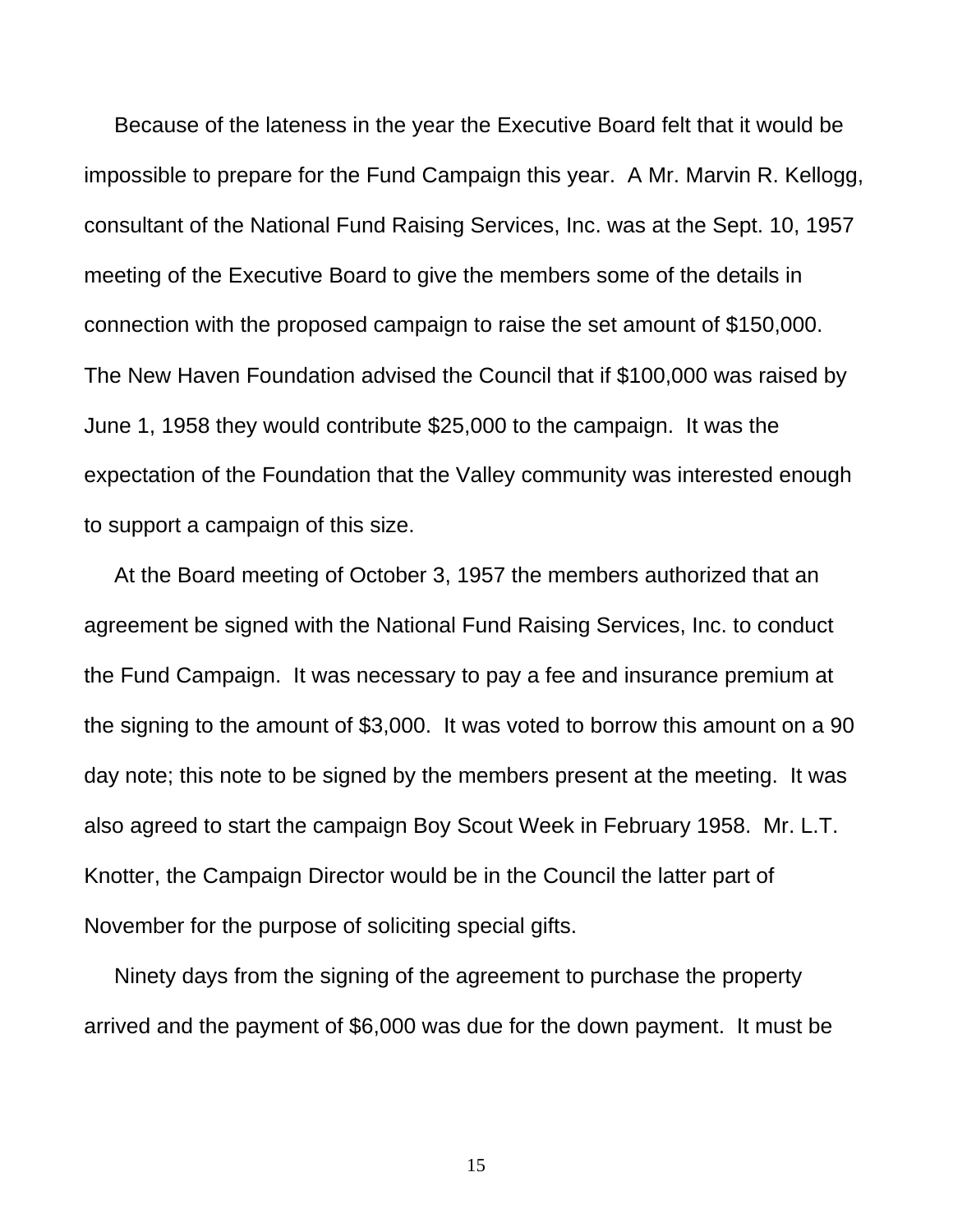Because of the lateness in the year the Executive Board felt that it would be impossible to prepare for the Fund Campaign this year. A Mr. Marvin R. Kellogg, consultant of the National Fund Raising Services, Inc. was at the Sept. 10, 1957 meeting of the Executive Board to give the members some of the details in connection with the proposed campaign to raise the set amount of \$150,000. The New Haven Foundation advised the Council that if \$100,000 was raised by June 1, 1958 they would contribute \$25,000 to the campaign. It was the expectation of the Foundation that the Valley community was interested enough to support a campaign of this size.

 At the Board meeting of October 3, 1957 the members authorized that an agreement be signed with the National Fund Raising Services, Inc. to conduct the Fund Campaign. It was necessary to pay a fee and insurance premium at the signing to the amount of \$3,000. It was voted to borrow this amount on a 90 day note; this note to be signed by the members present at the meeting. It was also agreed to start the campaign Boy Scout Week in February 1958. Mr. L.T. Knotter, the Campaign Director would be in the Council the latter part of November for the purpose of soliciting special gifts.

 Ninety days from the signing of the agreement to purchase the property arrived and the payment of \$6,000 was due for the down payment. It must be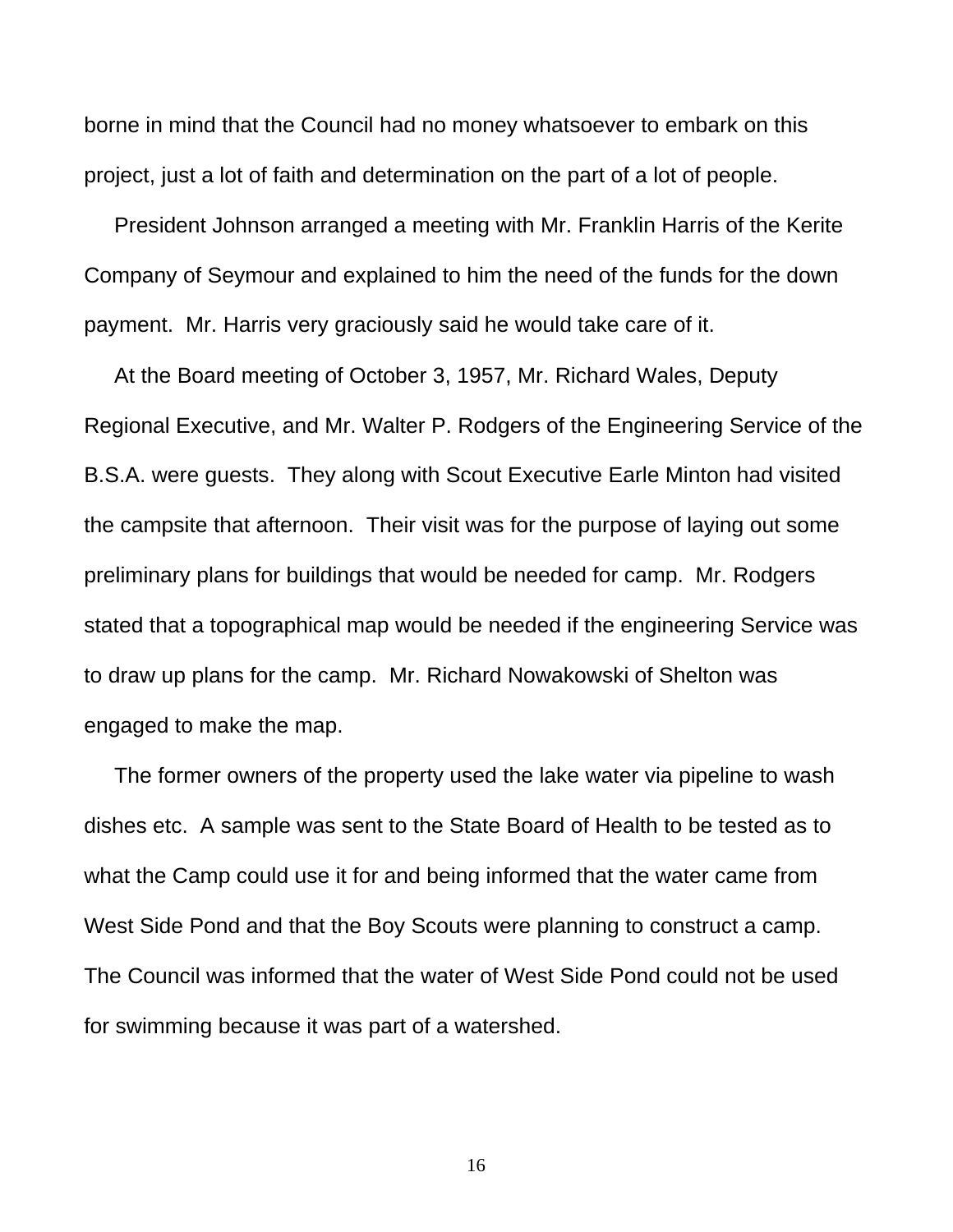borne in mind that the Council had no money whatsoever to embark on this project, just a lot of faith and determination on the part of a lot of people.

 President Johnson arranged a meeting with Mr. Franklin Harris of the Kerite Company of Seymour and explained to him the need of the funds for the down payment. Mr. Harris very graciously said he would take care of it.

 At the Board meeting of October 3, 1957, Mr. Richard Wales, Deputy Regional Executive, and Mr. Walter P. Rodgers of the Engineering Service of the B.S.A. were guests. They along with Scout Executive Earle Minton had visited the campsite that afternoon. Their visit was for the purpose of laying out some preliminary plans for buildings that would be needed for camp. Mr. Rodgers stated that a topographical map would be needed if the engineering Service was to draw up plans for the camp. Mr. Richard Nowakowski of Shelton was engaged to make the map.

 The former owners of the property used the lake water via pipeline to wash dishes etc. A sample was sent to the State Board of Health to be tested as to what the Camp could use it for and being informed that the water came from West Side Pond and that the Boy Scouts were planning to construct a camp. The Council was informed that the water of West Side Pond could not be used for swimming because it was part of a watershed.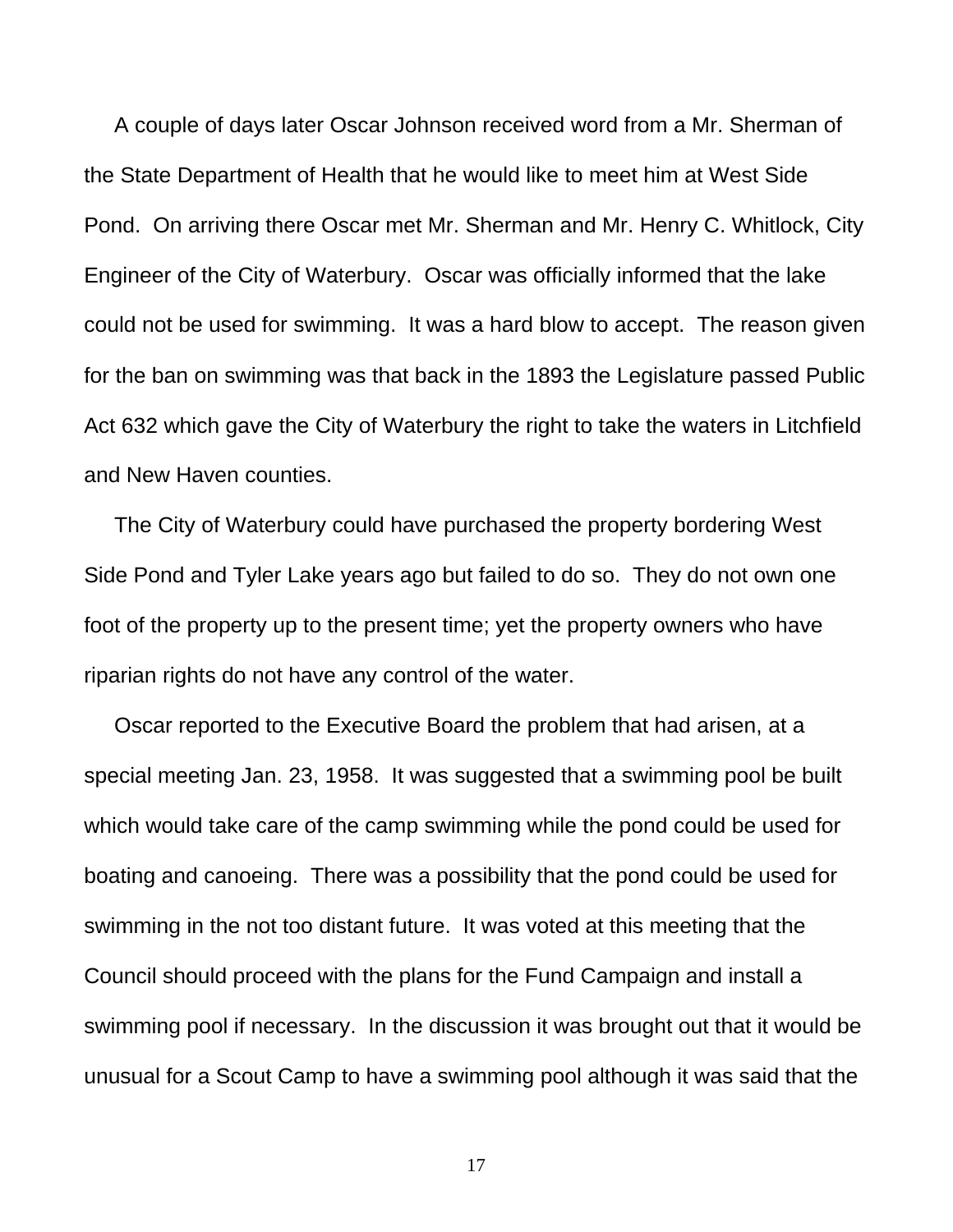A couple of days later Oscar Johnson received word from a Mr. Sherman of the State Department of Health that he would like to meet him at West Side Pond. On arriving there Oscar met Mr. Sherman and Mr. Henry C. Whitlock, City Engineer of the City of Waterbury. Oscar was officially informed that the lake could not be used for swimming. It was a hard blow to accept. The reason given for the ban on swimming was that back in the 1893 the Legislature passed Public Act 632 which gave the City of Waterbury the right to take the waters in Litchfield and New Haven counties.

 The City of Waterbury could have purchased the property bordering West Side Pond and Tyler Lake years ago but failed to do so. They do not own one foot of the property up to the present time; yet the property owners who have riparian rights do not have any control of the water.

 Oscar reported to the Executive Board the problem that had arisen, at a special meeting Jan. 23, 1958. It was suggested that a swimming pool be built which would take care of the camp swimming while the pond could be used for boating and canoeing. There was a possibility that the pond could be used for swimming in the not too distant future. It was voted at this meeting that the Council should proceed with the plans for the Fund Campaign and install a swimming pool if necessary. In the discussion it was brought out that it would be unusual for a Scout Camp to have a swimming pool although it was said that the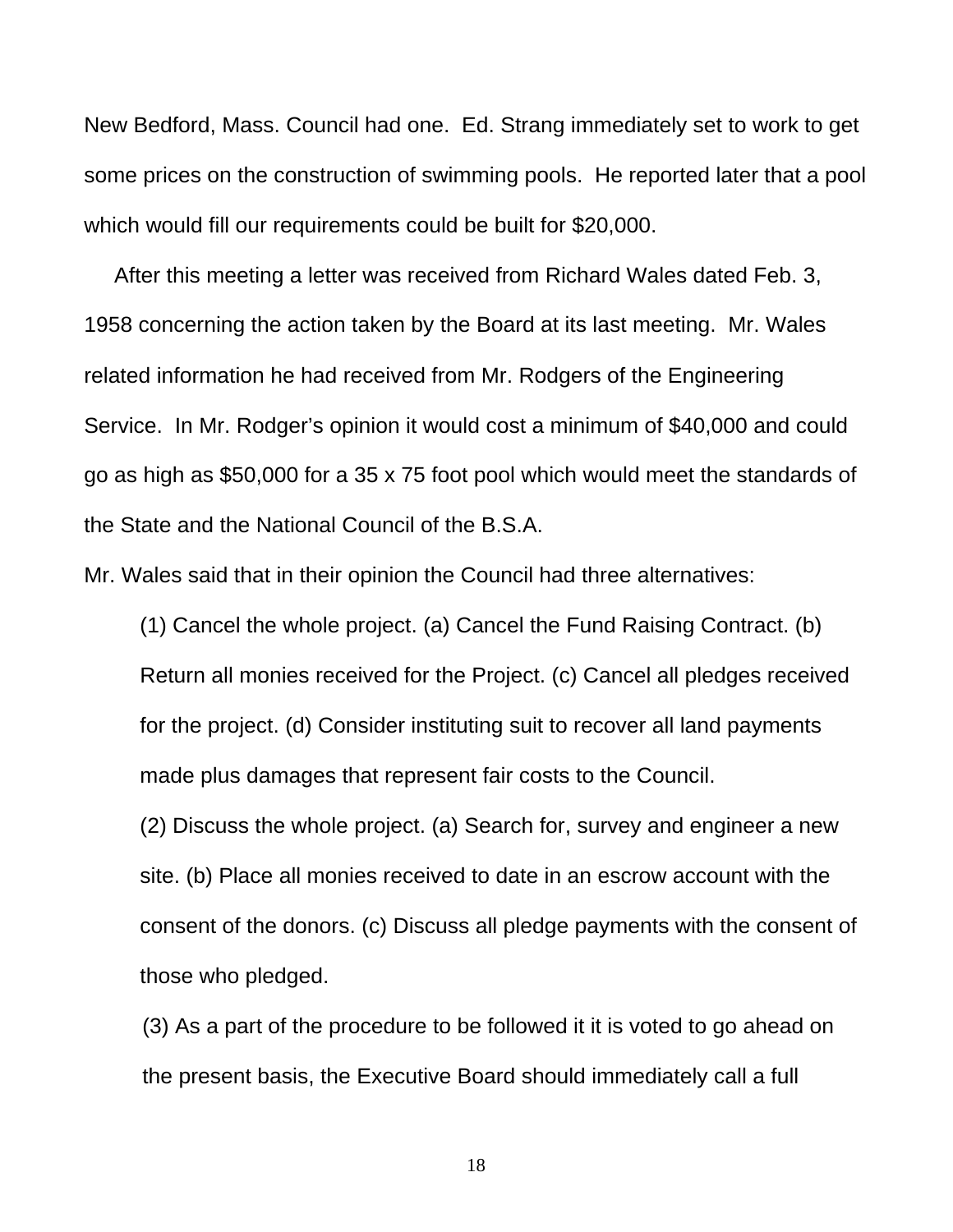New Bedford, Mass. Council had one. Ed. Strang immediately set to work to get some prices on the construction of swimming pools. He reported later that a pool which would fill our requirements could be built for \$20,000.

 After this meeting a letter was received from Richard Wales dated Feb. 3, 1958 concerning the action taken by the Board at its last meeting. Mr. Wales related information he had received from Mr. Rodgers of the Engineering Service. In Mr. Rodger's opinion it would cost a minimum of \$40,000 and could go as high as \$50,000 for a 35 x 75 foot pool which would meet the standards of the State and the National Council of the B.S.A.

Mr. Wales said that in their opinion the Council had three alternatives:

(1) Cancel the whole project. (a) Cancel the Fund Raising Contract. (b) Return all monies received for the Project. (c) Cancel all pledges received for the project. (d) Consider instituting suit to recover all land payments made plus damages that represent fair costs to the Council.

(2) Discuss the whole project. (a) Search for, survey and engineer a new site. (b) Place all monies received to date in an escrow account with the consent of the donors. (c) Discuss all pledge payments with the consent of those who pledged.

(3) As a part of the procedure to be followed it it is voted to go ahead on the present basis, the Executive Board should immediately call a full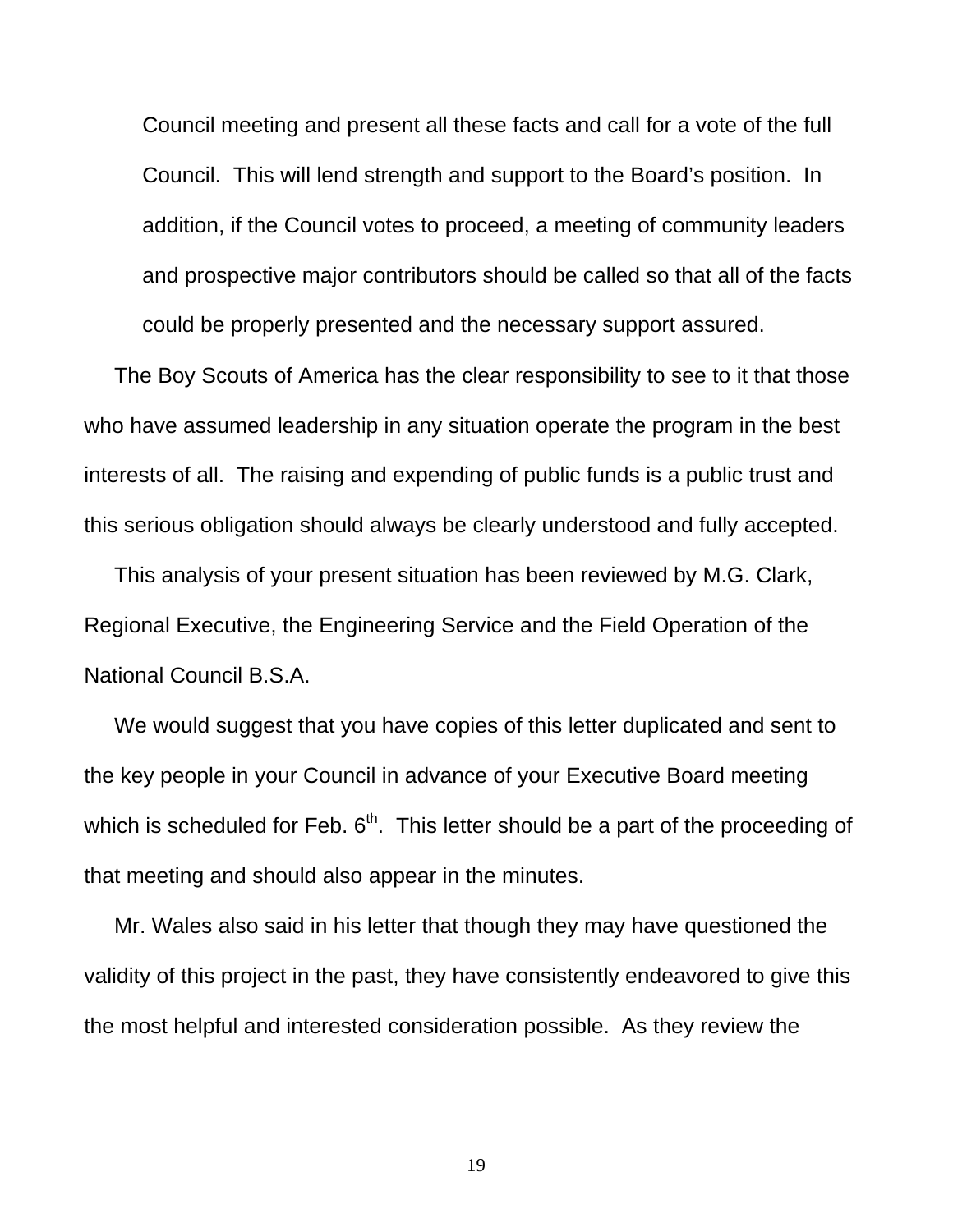Council meeting and present all these facts and call for a vote of the full Council. This will lend strength and support to the Board's position. In addition, if the Council votes to proceed, a meeting of community leaders and prospective major contributors should be called so that all of the facts could be properly presented and the necessary support assured.

 The Boy Scouts of America has the clear responsibility to see to it that those who have assumed leadership in any situation operate the program in the best interests of all. The raising and expending of public funds is a public trust and this serious obligation should always be clearly understood and fully accepted.

 This analysis of your present situation has been reviewed by M.G. Clark, Regional Executive, the Engineering Service and the Field Operation of the National Council B.S.A.

 We would suggest that you have copies of this letter duplicated and sent to the key people in your Council in advance of your Executive Board meeting which is scheduled for Feb.  $6<sup>th</sup>$ . This letter should be a part of the proceeding of that meeting and should also appear in the minutes.

 Mr. Wales also said in his letter that though they may have questioned the validity of this project in the past, they have consistently endeavored to give this the most helpful and interested consideration possible. As they review the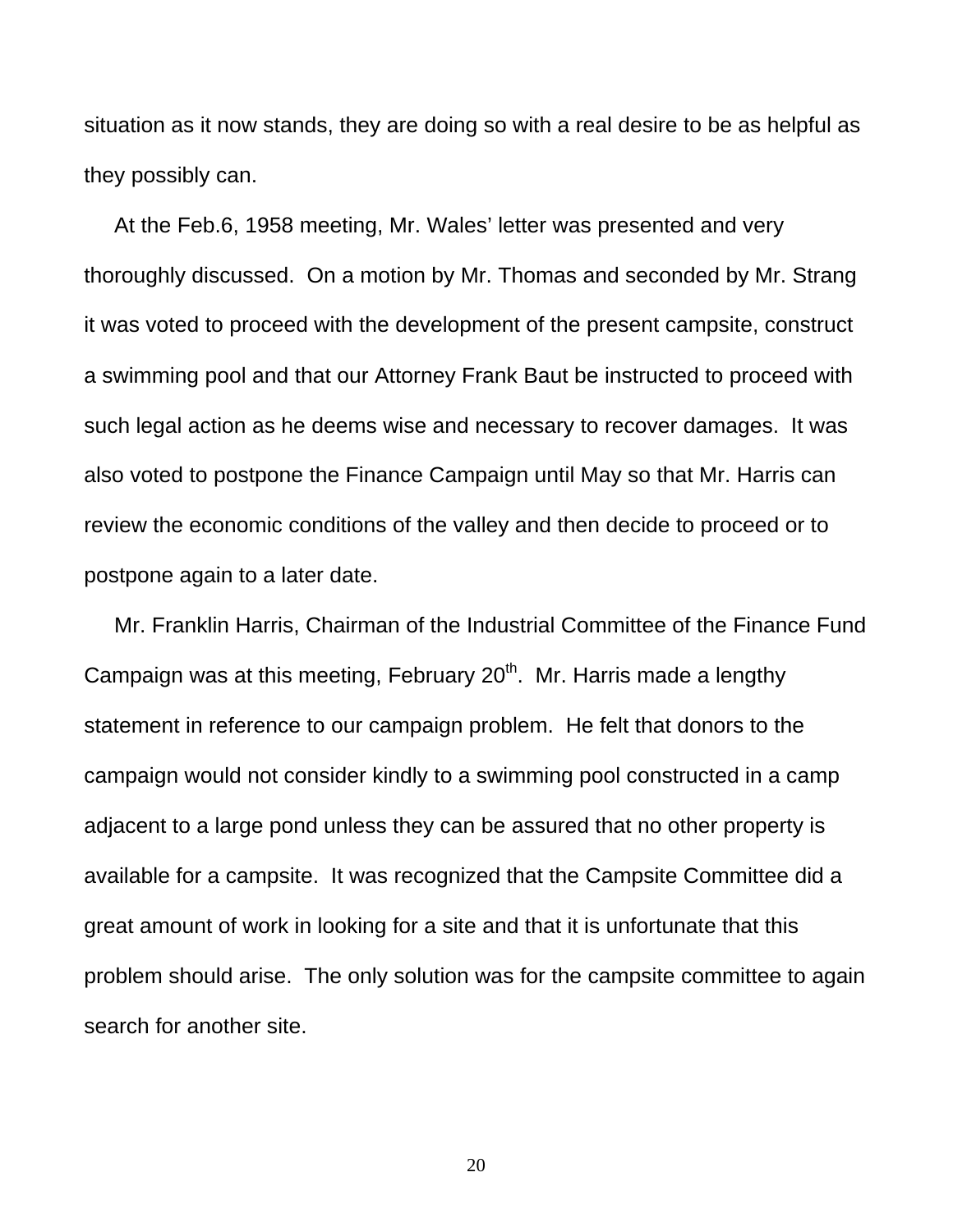situation as it now stands, they are doing so with a real desire to be as helpful as they possibly can.

 At the Feb.6, 1958 meeting, Mr. Wales' letter was presented and very thoroughly discussed. On a motion by Mr. Thomas and seconded by Mr. Strang it was voted to proceed with the development of the present campsite, construct a swimming pool and that our Attorney Frank Baut be instructed to proceed with such legal action as he deems wise and necessary to recover damages. It was also voted to postpone the Finance Campaign until May so that Mr. Harris can review the economic conditions of the valley and then decide to proceed or to postpone again to a later date.

 Mr. Franklin Harris, Chairman of the Industrial Committee of the Finance Fund Campaign was at this meeting, February  $20<sup>th</sup>$ . Mr. Harris made a lengthy statement in reference to our campaign problem. He felt that donors to the campaign would not consider kindly to a swimming pool constructed in a camp adjacent to a large pond unless they can be assured that no other property is available for a campsite. It was recognized that the Campsite Committee did a great amount of work in looking for a site and that it is unfortunate that this problem should arise. The only solution was for the campsite committee to again search for another site.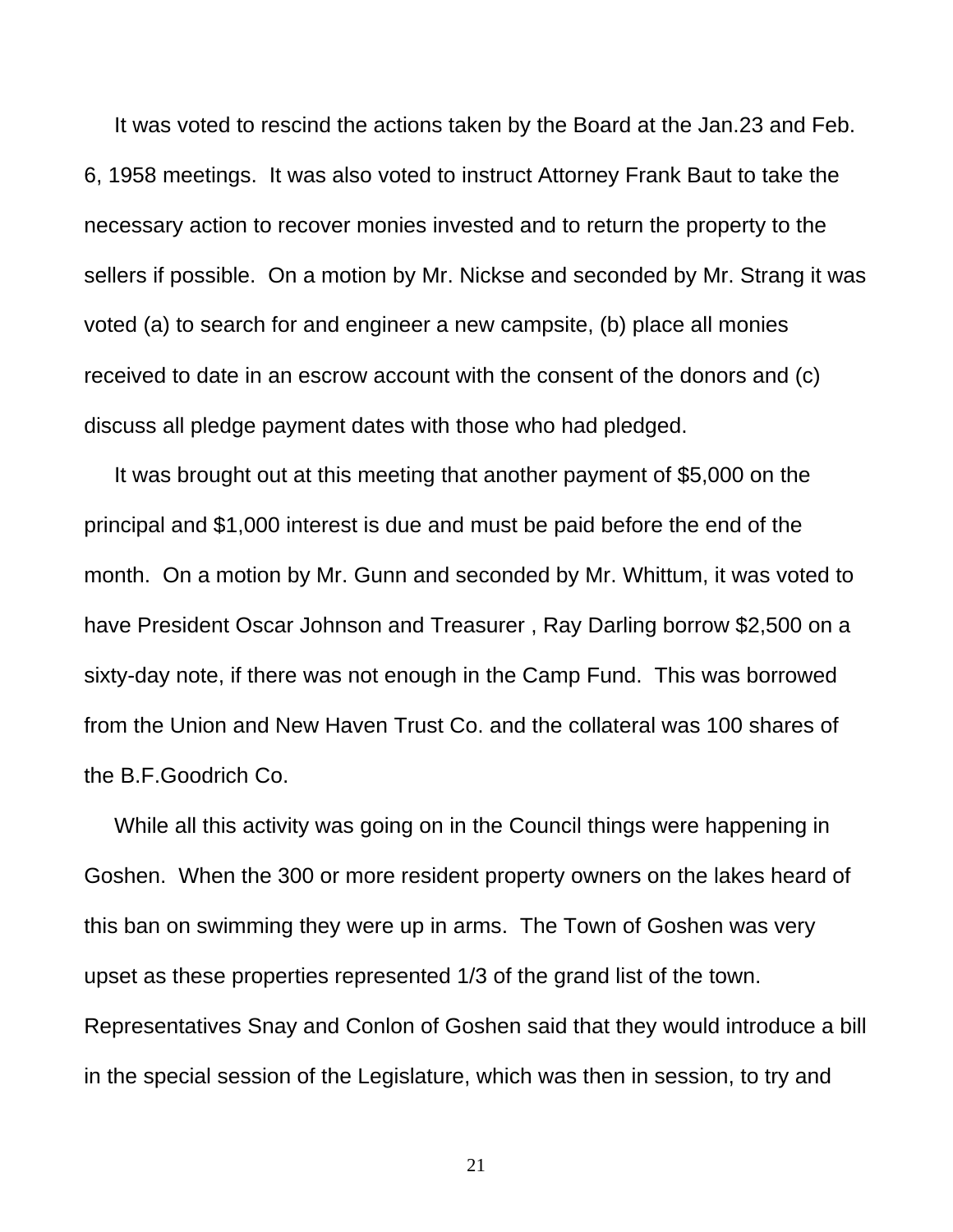It was voted to rescind the actions taken by the Board at the Jan.23 and Feb. 6, 1958 meetings. It was also voted to instruct Attorney Frank Baut to take the necessary action to recover monies invested and to return the property to the sellers if possible. On a motion by Mr. Nickse and seconded by Mr. Strang it was voted (a) to search for and engineer a new campsite, (b) place all monies received to date in an escrow account with the consent of the donors and (c) discuss all pledge payment dates with those who had pledged.

 It was brought out at this meeting that another payment of \$5,000 on the principal and \$1,000 interest is due and must be paid before the end of the month. On a motion by Mr. Gunn and seconded by Mr. Whittum, it was voted to have President Oscar Johnson and Treasurer , Ray Darling borrow \$2,500 on a sixty-day note, if there was not enough in the Camp Fund. This was borrowed from the Union and New Haven Trust Co. and the collateral was 100 shares of the B.F.Goodrich Co.

 While all this activity was going on in the Council things were happening in Goshen. When the 300 or more resident property owners on the lakes heard of this ban on swimming they were up in arms. The Town of Goshen was very upset as these properties represented 1/3 of the grand list of the town. Representatives Snay and Conlon of Goshen said that they would introduce a bill in the special session of the Legislature, which was then in session, to try and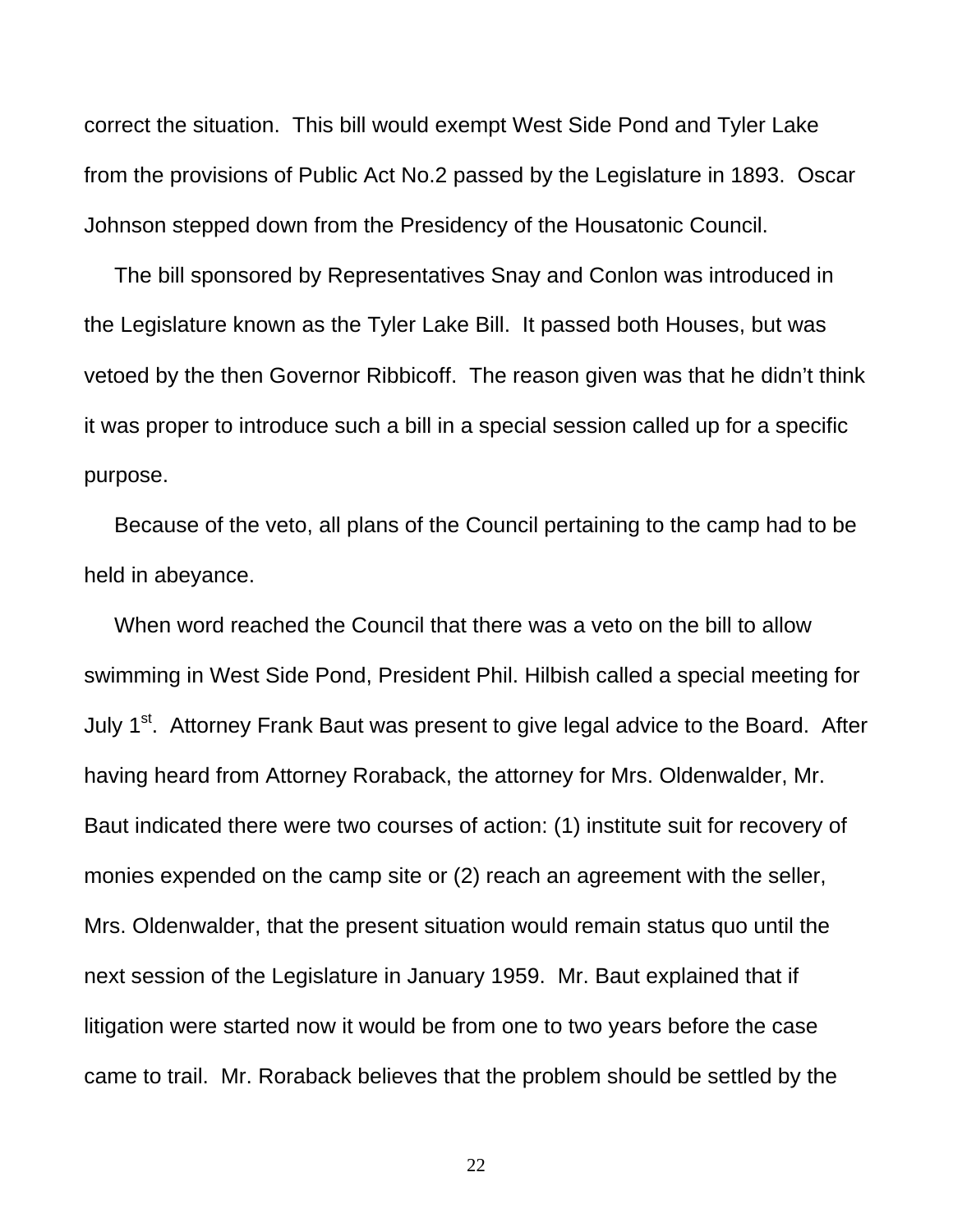correct the situation. This bill would exempt West Side Pond and Tyler Lake from the provisions of Public Act No.2 passed by the Legislature in 1893. Oscar Johnson stepped down from the Presidency of the Housatonic Council.

 The bill sponsored by Representatives Snay and Conlon was introduced in the Legislature known as the Tyler Lake Bill. It passed both Houses, but was vetoed by the then Governor Ribbicoff. The reason given was that he didn't think it was proper to introduce such a bill in a special session called up for a specific purpose.

 Because of the veto, all plans of the Council pertaining to the camp had to be held in abeyance.

 When word reached the Council that there was a veto on the bill to allow swimming in West Side Pond, President Phil. Hilbish called a special meeting for July 1<sup>st</sup>. Attorney Frank Baut was present to give legal advice to the Board. After having heard from Attorney Roraback, the attorney for Mrs. Oldenwalder, Mr. Baut indicated there were two courses of action: (1) institute suit for recovery of monies expended on the camp site or (2) reach an agreement with the seller, Mrs. Oldenwalder, that the present situation would remain status quo until the next session of the Legislature in January 1959. Mr. Baut explained that if litigation were started now it would be from one to two years before the case came to trail. Mr. Roraback believes that the problem should be settled by the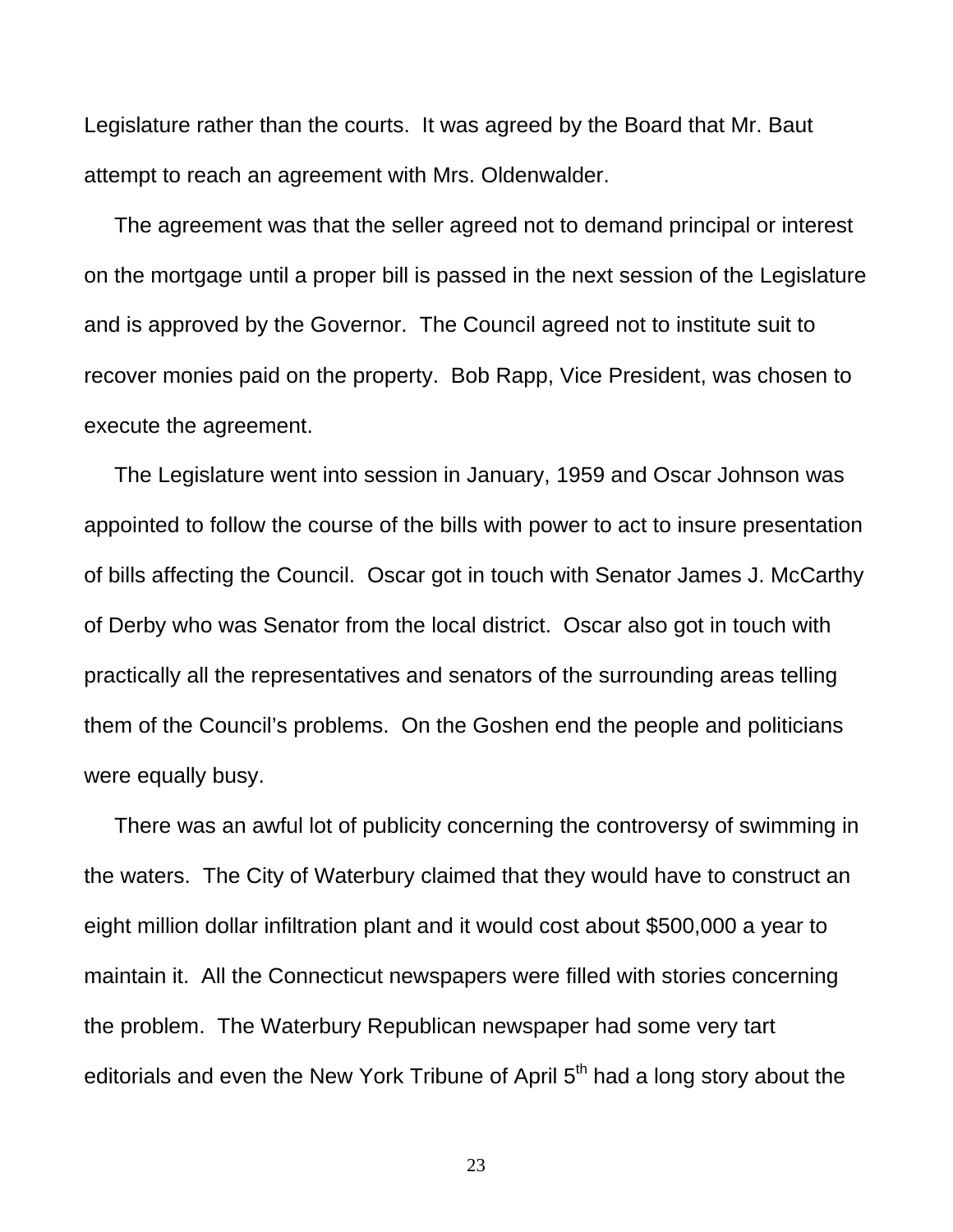Legislature rather than the courts. It was agreed by the Board that Mr. Baut attempt to reach an agreement with Mrs. Oldenwalder.

 The agreement was that the seller agreed not to demand principal or interest on the mortgage until a proper bill is passed in the next session of the Legislature and is approved by the Governor. The Council agreed not to institute suit to recover monies paid on the property. Bob Rapp, Vice President, was chosen to execute the agreement.

 The Legislature went into session in January, 1959 and Oscar Johnson was appointed to follow the course of the bills with power to act to insure presentation of bills affecting the Council. Oscar got in touch with Senator James J. McCarthy of Derby who was Senator from the local district. Oscar also got in touch with practically all the representatives and senators of the surrounding areas telling them of the Council's problems. On the Goshen end the people and politicians were equally busy.

 There was an awful lot of publicity concerning the controversy of swimming in the waters. The City of Waterbury claimed that they would have to construct an eight million dollar infiltration plant and it would cost about \$500,000 a year to maintain it. All the Connecticut newspapers were filled with stories concerning the problem. The Waterbury Republican newspaper had some very tart editorials and even the New York Tribune of April 5<sup>th</sup> had a long story about the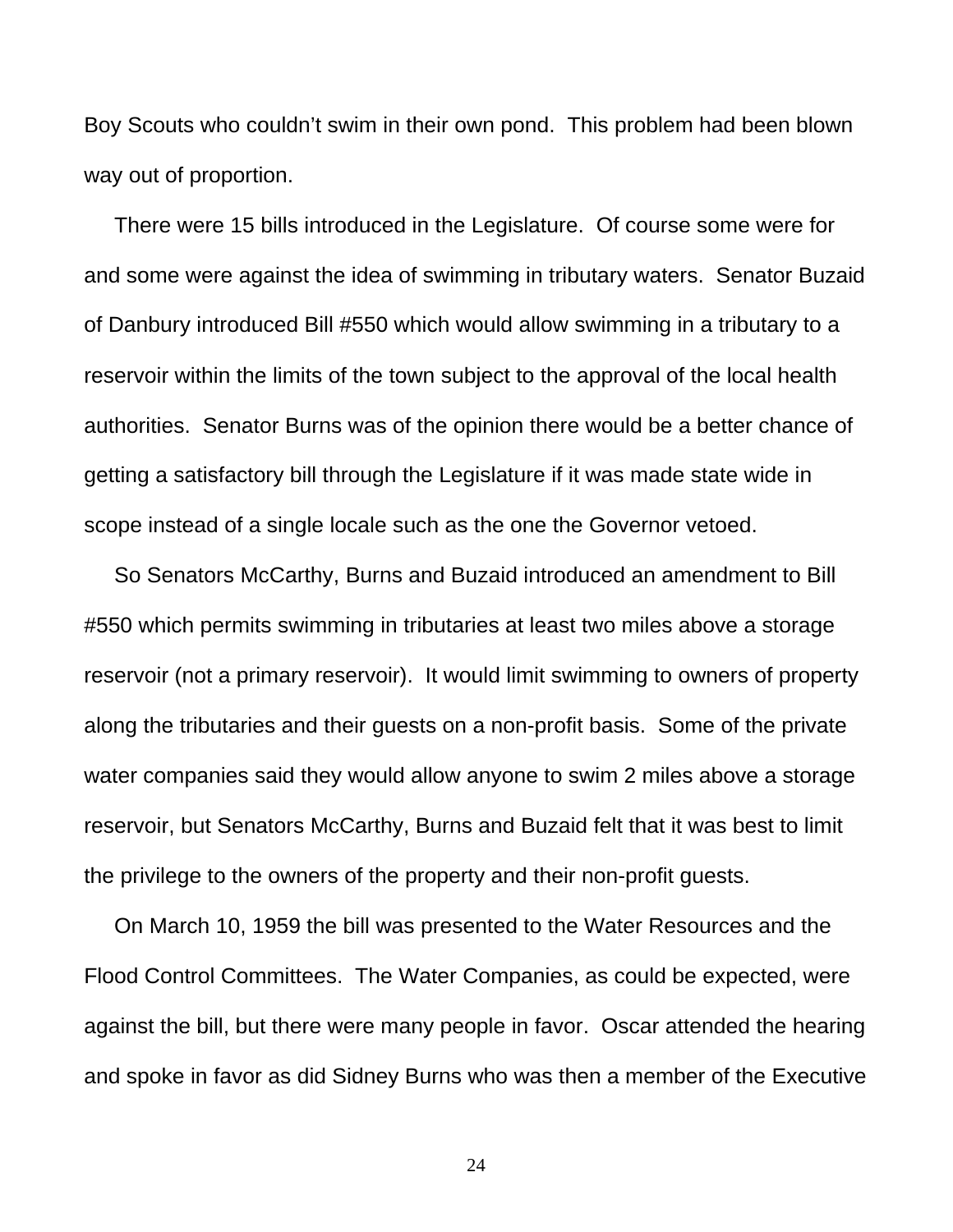Boy Scouts who couldn't swim in their own pond. This problem had been blown way out of proportion.

 There were 15 bills introduced in the Legislature. Of course some were for and some were against the idea of swimming in tributary waters. Senator Buzaid of Danbury introduced Bill #550 which would allow swimming in a tributary to a reservoir within the limits of the town subject to the approval of the local health authorities. Senator Burns was of the opinion there would be a better chance of getting a satisfactory bill through the Legislature if it was made state wide in scope instead of a single locale such as the one the Governor vetoed.

 So Senators McCarthy, Burns and Buzaid introduced an amendment to Bill #550 which permits swimming in tributaries at least two miles above a storage reservoir (not a primary reservoir). It would limit swimming to owners of property along the tributaries and their guests on a non-profit basis. Some of the private water companies said they would allow anyone to swim 2 miles above a storage reservoir, but Senators McCarthy, Burns and Buzaid felt that it was best to limit the privilege to the owners of the property and their non-profit guests.

 On March 10, 1959 the bill was presented to the Water Resources and the Flood Control Committees. The Water Companies, as could be expected, were against the bill, but there were many people in favor. Oscar attended the hearing and spoke in favor as did Sidney Burns who was then a member of the Executive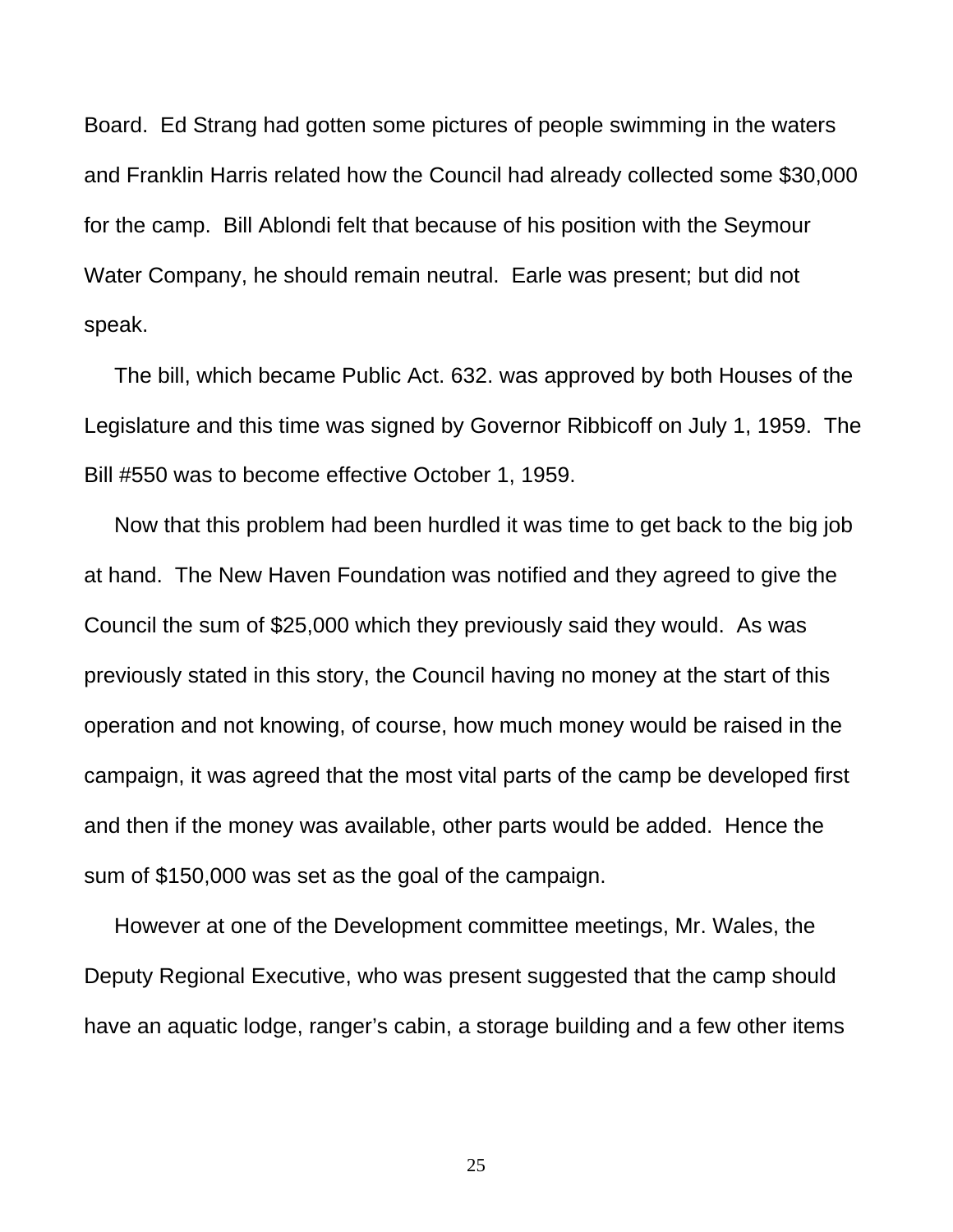Board. Ed Strang had gotten some pictures of people swimming in the waters and Franklin Harris related how the Council had already collected some \$30,000 for the camp. Bill Ablondi felt that because of his position with the Seymour Water Company, he should remain neutral. Earle was present; but did not speak.

 The bill, which became Public Act. 632. was approved by both Houses of the Legislature and this time was signed by Governor Ribbicoff on July 1, 1959. The Bill #550 was to become effective October 1, 1959.

 Now that this problem had been hurdled it was time to get back to the big job at hand. The New Haven Foundation was notified and they agreed to give the Council the sum of \$25,000 which they previously said they would. As was previously stated in this story, the Council having no money at the start of this operation and not knowing, of course, how much money would be raised in the campaign, it was agreed that the most vital parts of the camp be developed first and then if the money was available, other parts would be added. Hence the sum of \$150,000 was set as the goal of the campaign.

 However at one of the Development committee meetings, Mr. Wales, the Deputy Regional Executive, who was present suggested that the camp should have an aquatic lodge, ranger's cabin, a storage building and a few other items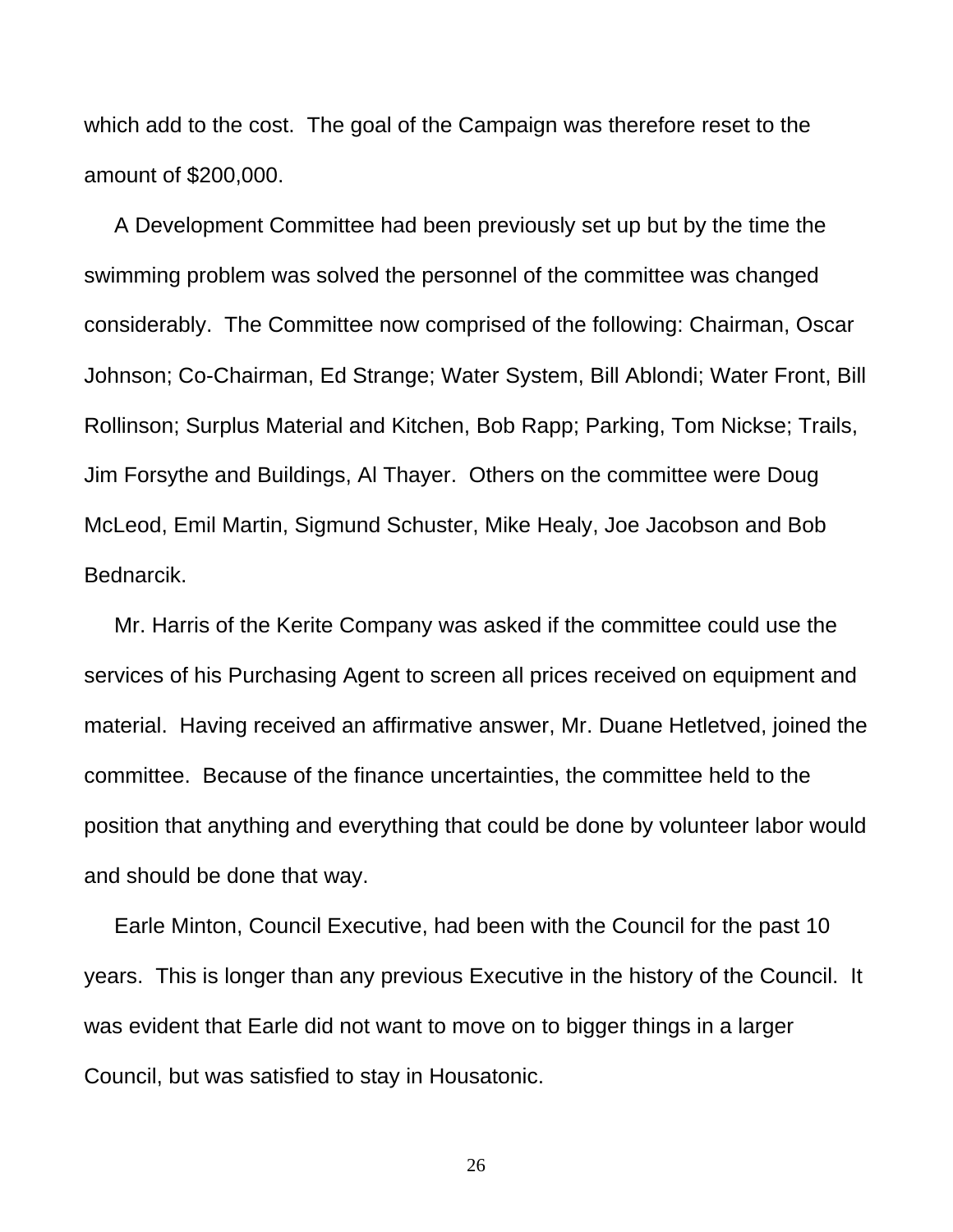which add to the cost. The goal of the Campaign was therefore reset to the amount of \$200,000.

 A Development Committee had been previously set up but by the time the swimming problem was solved the personnel of the committee was changed considerably. The Committee now comprised of the following: Chairman, Oscar Johnson; Co-Chairman, Ed Strange; Water System, Bill Ablondi; Water Front, Bill Rollinson; Surplus Material and Kitchen, Bob Rapp; Parking, Tom Nickse; Trails, Jim Forsythe and Buildings, Al Thayer. Others on the committee were Doug McLeod, Emil Martin, Sigmund Schuster, Mike Healy, Joe Jacobson and Bob Bednarcik.

 Mr. Harris of the Kerite Company was asked if the committee could use the services of his Purchasing Agent to screen all prices received on equipment and material. Having received an affirmative answer, Mr. Duane Hetletved, joined the committee. Because of the finance uncertainties, the committee held to the position that anything and everything that could be done by volunteer labor would and should be done that way.

 Earle Minton, Council Executive, had been with the Council for the past 10 years. This is longer than any previous Executive in the history of the Council. It was evident that Earle did not want to move on to bigger things in a larger Council, but was satisfied to stay in Housatonic.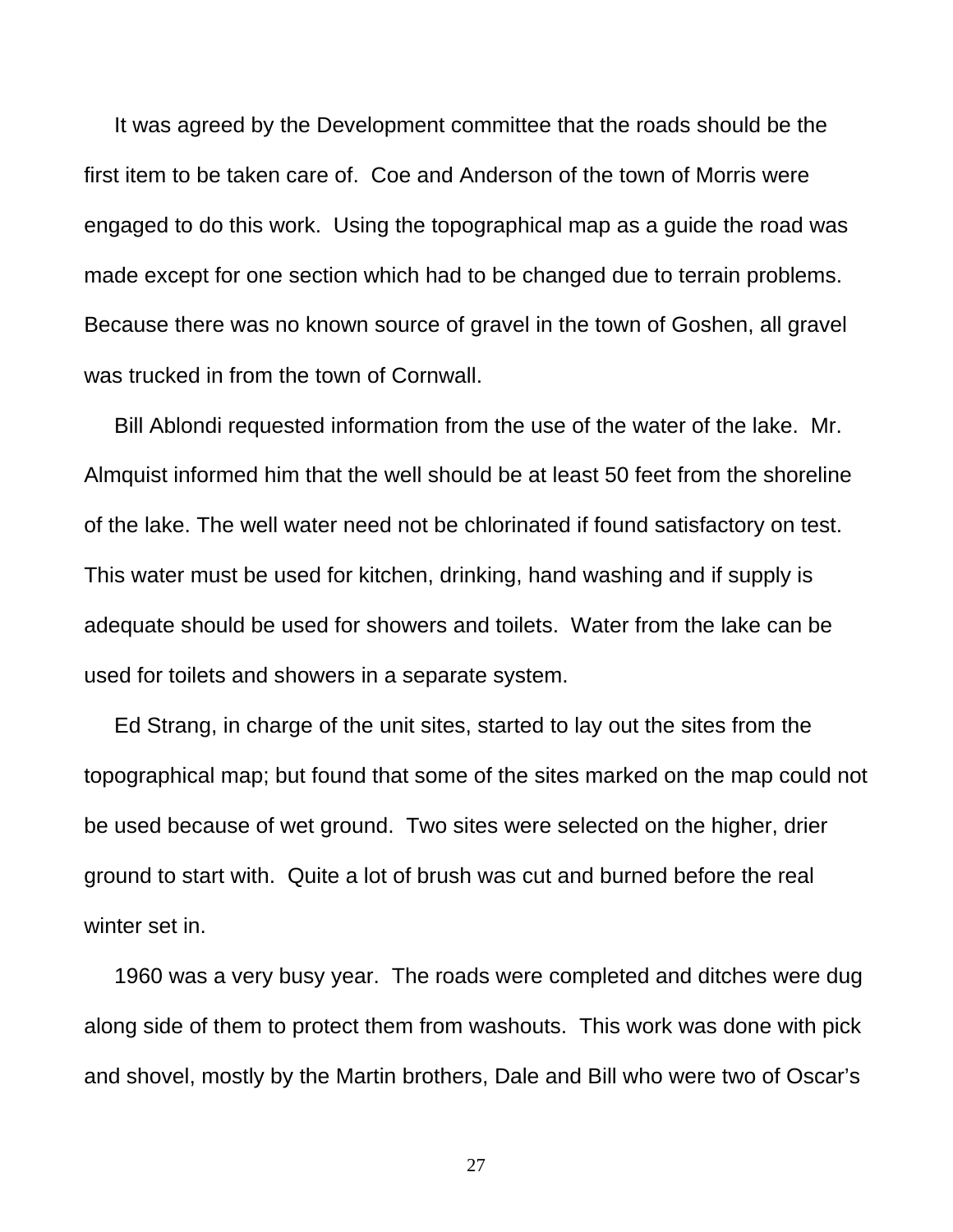It was agreed by the Development committee that the roads should be the first item to be taken care of. Coe and Anderson of the town of Morris were engaged to do this work. Using the topographical map as a guide the road was made except for one section which had to be changed due to terrain problems. Because there was no known source of gravel in the town of Goshen, all gravel was trucked in from the town of Cornwall.

 Bill Ablondi requested information from the use of the water of the lake. Mr. Almquist informed him that the well should be at least 50 feet from the shoreline of the lake. The well water need not be chlorinated if found satisfactory on test. This water must be used for kitchen, drinking, hand washing and if supply is adequate should be used for showers and toilets. Water from the lake can be used for toilets and showers in a separate system.

 Ed Strang, in charge of the unit sites, started to lay out the sites from the topographical map; but found that some of the sites marked on the map could not be used because of wet ground. Two sites were selected on the higher, drier ground to start with. Quite a lot of brush was cut and burned before the real winter set in.

 1960 was a very busy year. The roads were completed and ditches were dug along side of them to protect them from washouts. This work was done with pick and shovel, mostly by the Martin brothers, Dale and Bill who were two of Oscar's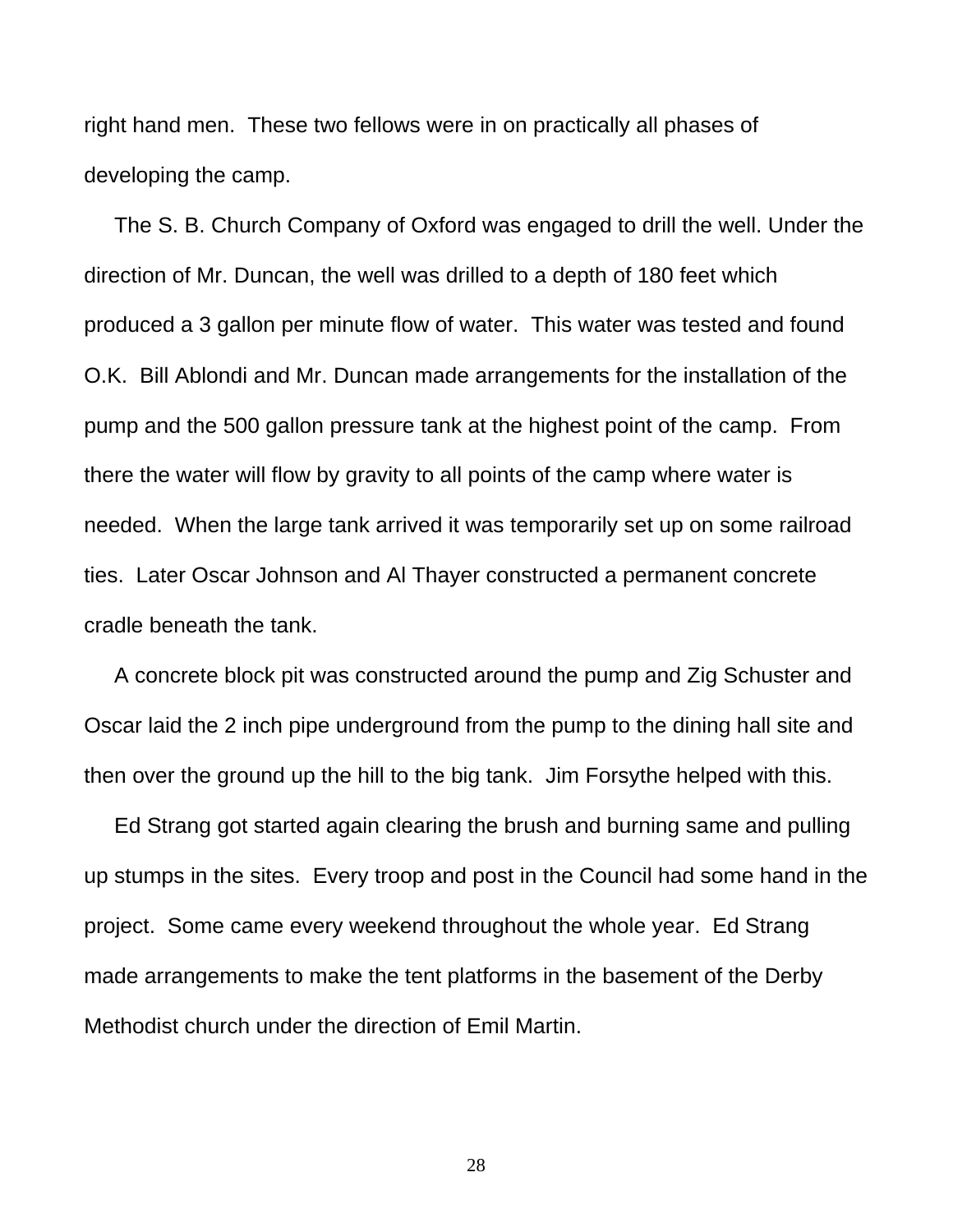right hand men. These two fellows were in on practically all phases of developing the camp.

 The S. B. Church Company of Oxford was engaged to drill the well. Under the direction of Mr. Duncan, the well was drilled to a depth of 180 feet which produced a 3 gallon per minute flow of water. This water was tested and found O.K. Bill Ablondi and Mr. Duncan made arrangements for the installation of the pump and the 500 gallon pressure tank at the highest point of the camp. From there the water will flow by gravity to all points of the camp where water is needed. When the large tank arrived it was temporarily set up on some railroad ties. Later Oscar Johnson and Al Thayer constructed a permanent concrete cradle beneath the tank.

 A concrete block pit was constructed around the pump and Zig Schuster and Oscar laid the 2 inch pipe underground from the pump to the dining hall site and then over the ground up the hill to the big tank. Jim Forsythe helped with this.

 Ed Strang got started again clearing the brush and burning same and pulling up stumps in the sites. Every troop and post in the Council had some hand in the project. Some came every weekend throughout the whole year. Ed Strang made arrangements to make the tent platforms in the basement of the Derby Methodist church under the direction of Emil Martin.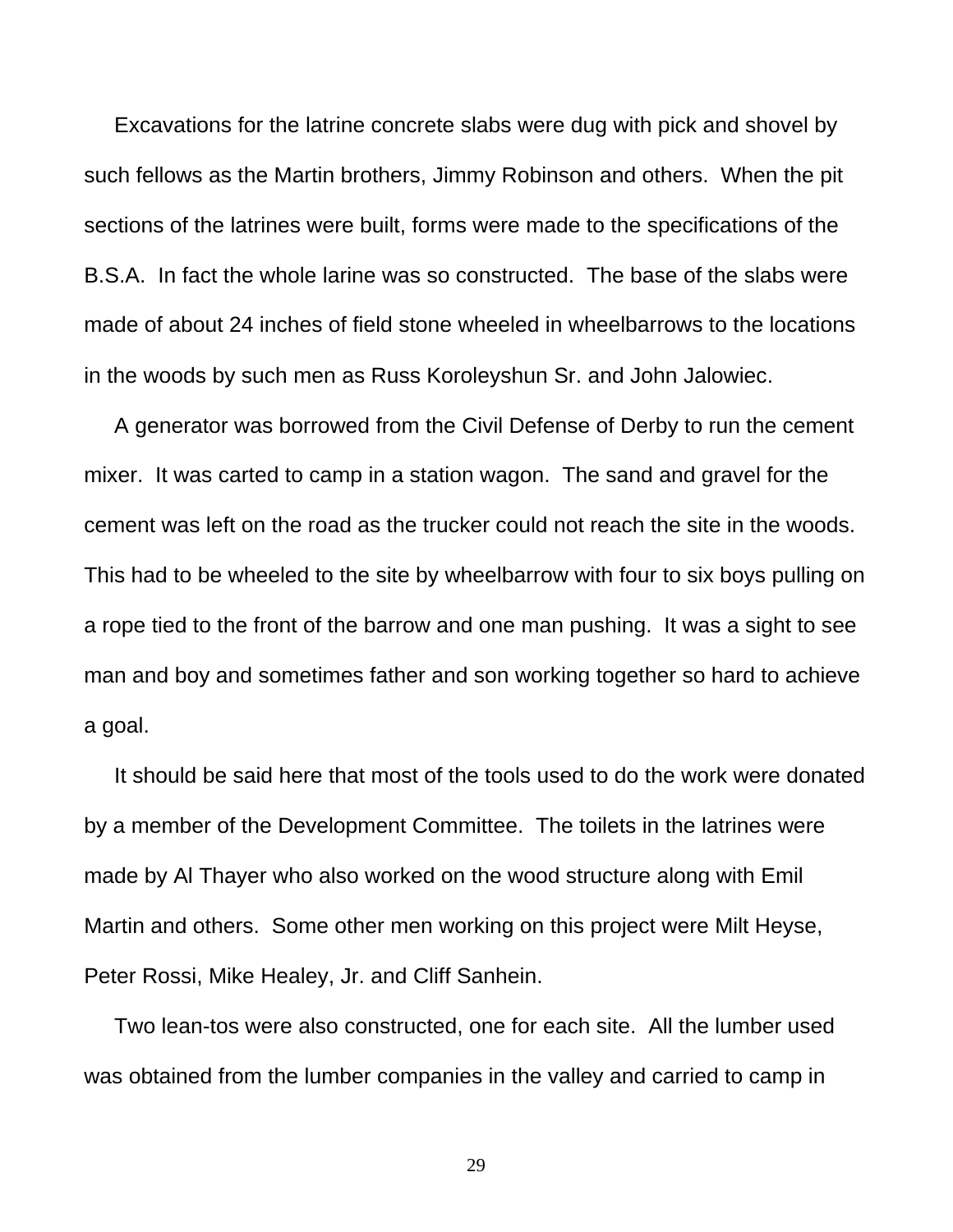Excavations for the latrine concrete slabs were dug with pick and shovel by such fellows as the Martin brothers, Jimmy Robinson and others. When the pit sections of the latrines were built, forms were made to the specifications of the B.S.A. In fact the whole larine was so constructed. The base of the slabs were made of about 24 inches of field stone wheeled in wheelbarrows to the locations in the woods by such men as Russ Koroleyshun Sr. and John Jalowiec.

 A generator was borrowed from the Civil Defense of Derby to run the cement mixer. It was carted to camp in a station wagon. The sand and gravel for the cement was left on the road as the trucker could not reach the site in the woods. This had to be wheeled to the site by wheelbarrow with four to six boys pulling on a rope tied to the front of the barrow and one man pushing. It was a sight to see man and boy and sometimes father and son working together so hard to achieve a goal.

 It should be said here that most of the tools used to do the work were donated by a member of the Development Committee. The toilets in the latrines were made by Al Thayer who also worked on the wood structure along with Emil Martin and others. Some other men working on this project were Milt Heyse, Peter Rossi, Mike Healey, Jr. and Cliff Sanhein.

 Two lean-tos were also constructed, one for each site. All the lumber used was obtained from the lumber companies in the valley and carried to camp in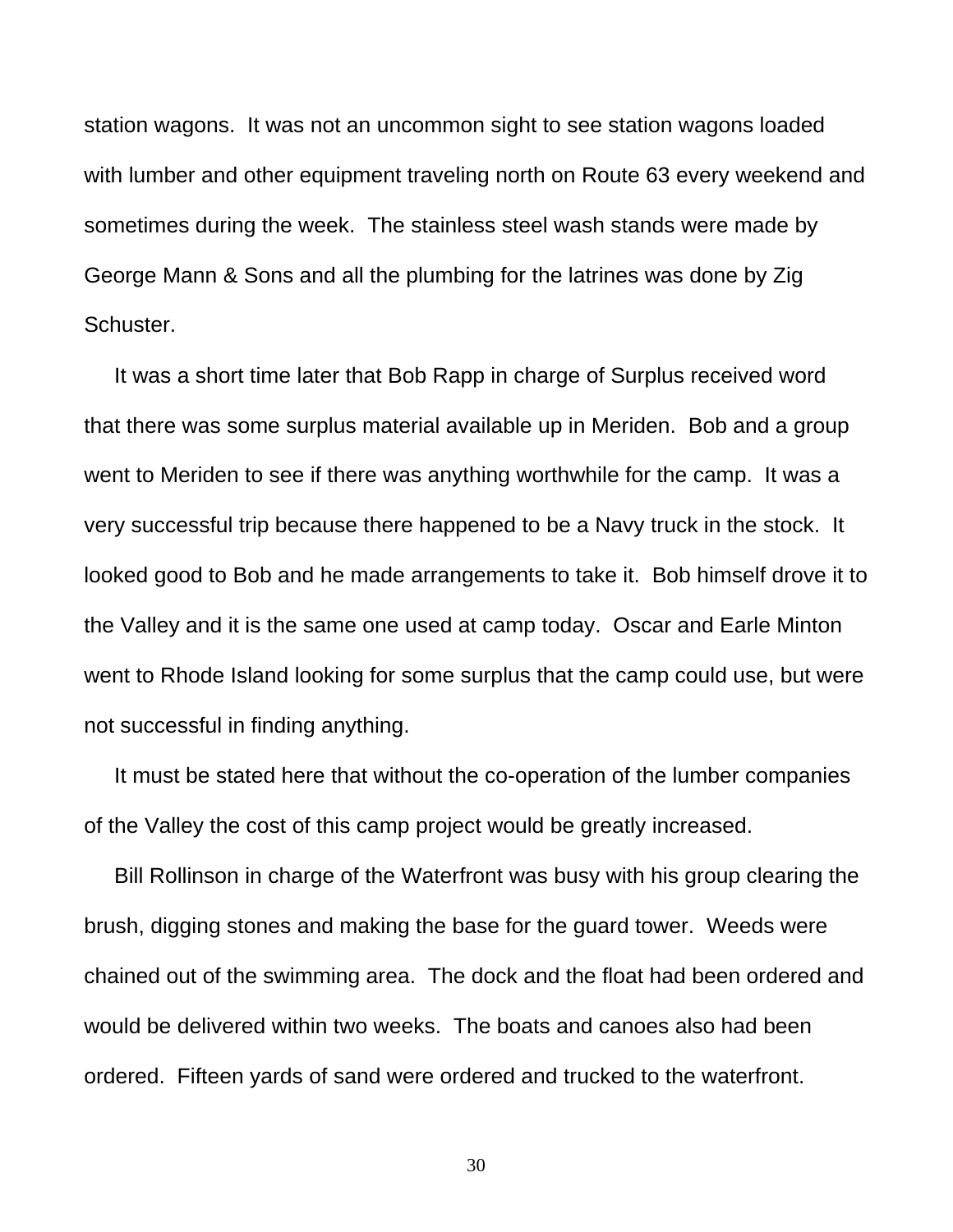station wagons. It was not an uncommon sight to see station wagons loaded with lumber and other equipment traveling north on Route 63 every weekend and sometimes during the week. The stainless steel wash stands were made by George Mann & Sons and all the plumbing for the latrines was done by Zig Schuster.

 It was a short time later that Bob Rapp in charge of Surplus received word that there was some surplus material available up in Meriden. Bob and a group went to Meriden to see if there was anything worthwhile for the camp. It was a very successful trip because there happened to be a Navy truck in the stock. It looked good to Bob and he made arrangements to take it. Bob himself drove it to the Valley and it is the same one used at camp today. Oscar and Earle Minton went to Rhode Island looking for some surplus that the camp could use, but were not successful in finding anything.

 It must be stated here that without the co-operation of the lumber companies of the Valley the cost of this camp project would be greatly increased.

 Bill Rollinson in charge of the Waterfront was busy with his group clearing the brush, digging stones and making the base for the guard tower. Weeds were chained out of the swimming area. The dock and the float had been ordered and would be delivered within two weeks. The boats and canoes also had been ordered. Fifteen yards of sand were ordered and trucked to the waterfront.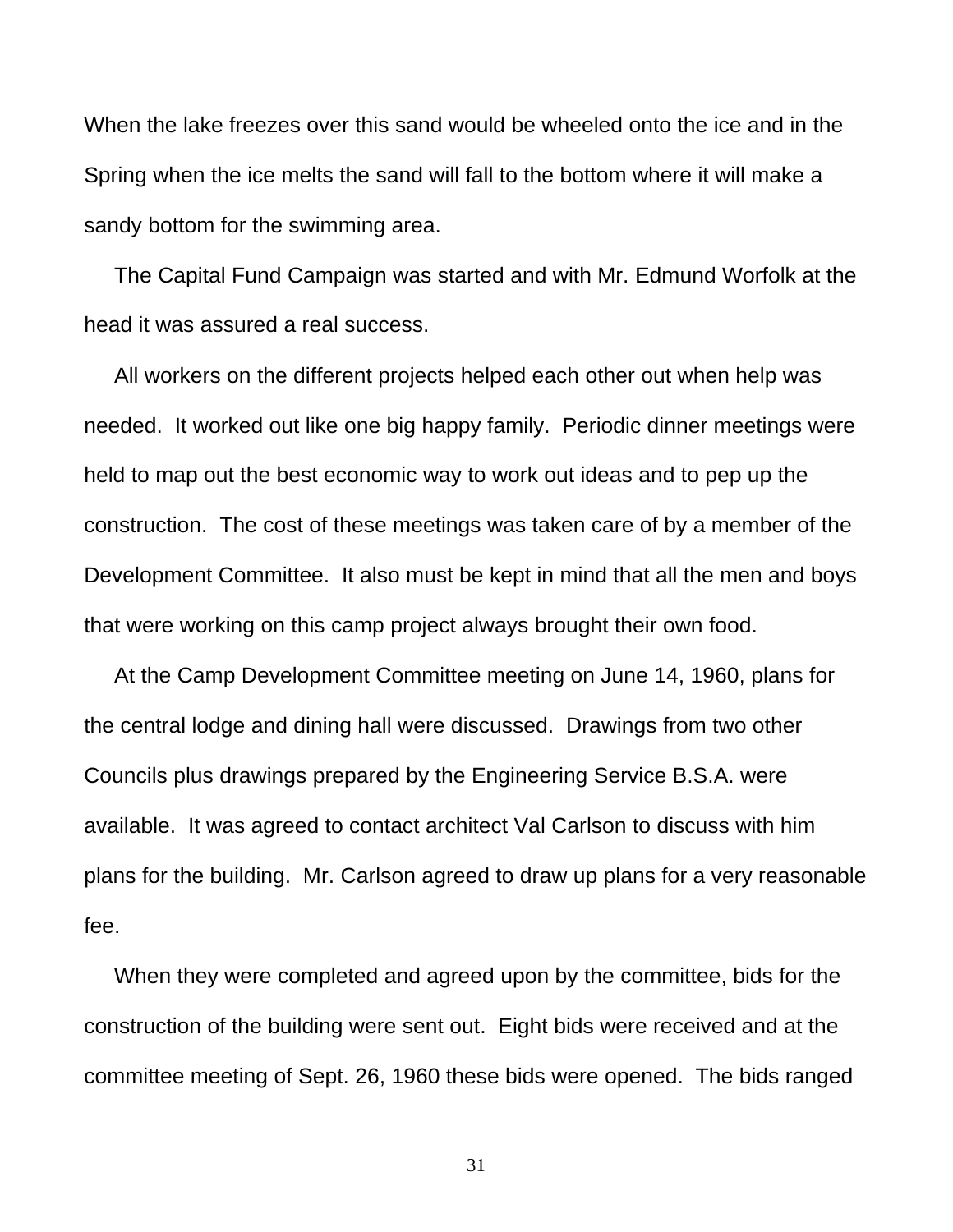When the lake freezes over this sand would be wheeled onto the ice and in the Spring when the ice melts the sand will fall to the bottom where it will make a sandy bottom for the swimming area.

 The Capital Fund Campaign was started and with Mr. Edmund Worfolk at the head it was assured a real success.

 All workers on the different projects helped each other out when help was needed. It worked out like one big happy family. Periodic dinner meetings were held to map out the best economic way to work out ideas and to pep up the construction. The cost of these meetings was taken care of by a member of the Development Committee. It also must be kept in mind that all the men and boys that were working on this camp project always brought their own food.

 At the Camp Development Committee meeting on June 14, 1960, plans for the central lodge and dining hall were discussed. Drawings from two other Councils plus drawings prepared by the Engineering Service B.S.A. were available. It was agreed to contact architect Val Carlson to discuss with him plans for the building. Mr. Carlson agreed to draw up plans for a very reasonable fee.

 When they were completed and agreed upon by the committee, bids for the construction of the building were sent out. Eight bids were received and at the committee meeting of Sept. 26, 1960 these bids were opened. The bids ranged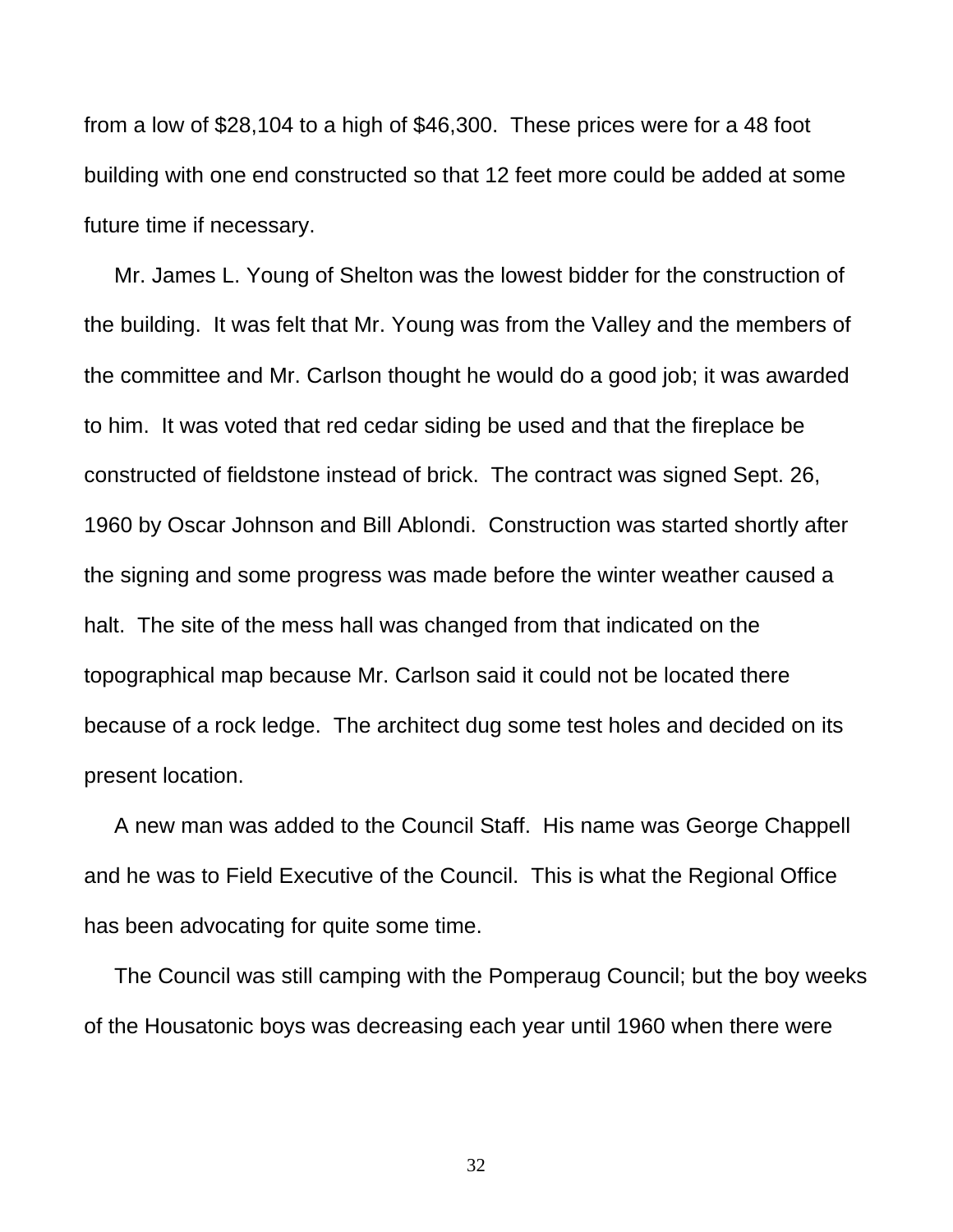from a low of \$28,104 to a high of \$46,300. These prices were for a 48 foot building with one end constructed so that 12 feet more could be added at some future time if necessary.

 Mr. James L. Young of Shelton was the lowest bidder for the construction of the building. It was felt that Mr. Young was from the Valley and the members of the committee and Mr. Carlson thought he would do a good job; it was awarded to him. It was voted that red cedar siding be used and that the fireplace be constructed of fieldstone instead of brick. The contract was signed Sept. 26, 1960 by Oscar Johnson and Bill Ablondi. Construction was started shortly after the signing and some progress was made before the winter weather caused a halt. The site of the mess hall was changed from that indicated on the topographical map because Mr. Carlson said it could not be located there because of a rock ledge. The architect dug some test holes and decided on its present location.

 A new man was added to the Council Staff. His name was George Chappell and he was to Field Executive of the Council. This is what the Regional Office has been advocating for quite some time.

 The Council was still camping with the Pomperaug Council; but the boy weeks of the Housatonic boys was decreasing each year until 1960 when there were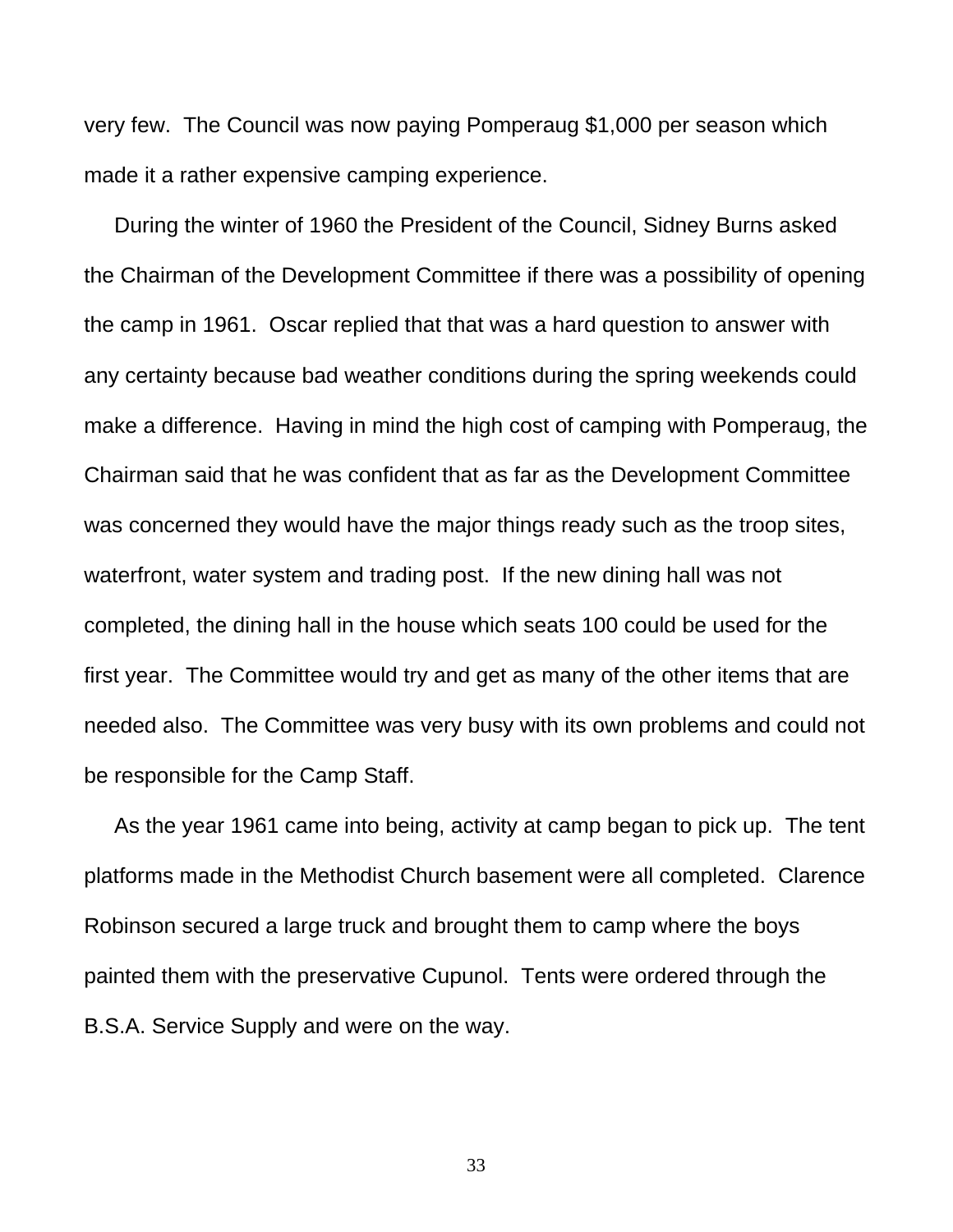very few. The Council was now paying Pomperaug \$1,000 per season which made it a rather expensive camping experience.

 During the winter of 1960 the President of the Council, Sidney Burns asked the Chairman of the Development Committee if there was a possibility of opening the camp in 1961. Oscar replied that that was a hard question to answer with any certainty because bad weather conditions during the spring weekends could make a difference. Having in mind the high cost of camping with Pomperaug, the Chairman said that he was confident that as far as the Development Committee was concerned they would have the major things ready such as the troop sites, waterfront, water system and trading post. If the new dining hall was not completed, the dining hall in the house which seats 100 could be used for the first year. The Committee would try and get as many of the other items that are needed also. The Committee was very busy with its own problems and could not be responsible for the Camp Staff.

 As the year 1961 came into being, activity at camp began to pick up. The tent platforms made in the Methodist Church basement were all completed. Clarence Robinson secured a large truck and brought them to camp where the boys painted them with the preservative Cupunol. Tents were ordered through the B.S.A. Service Supply and were on the way.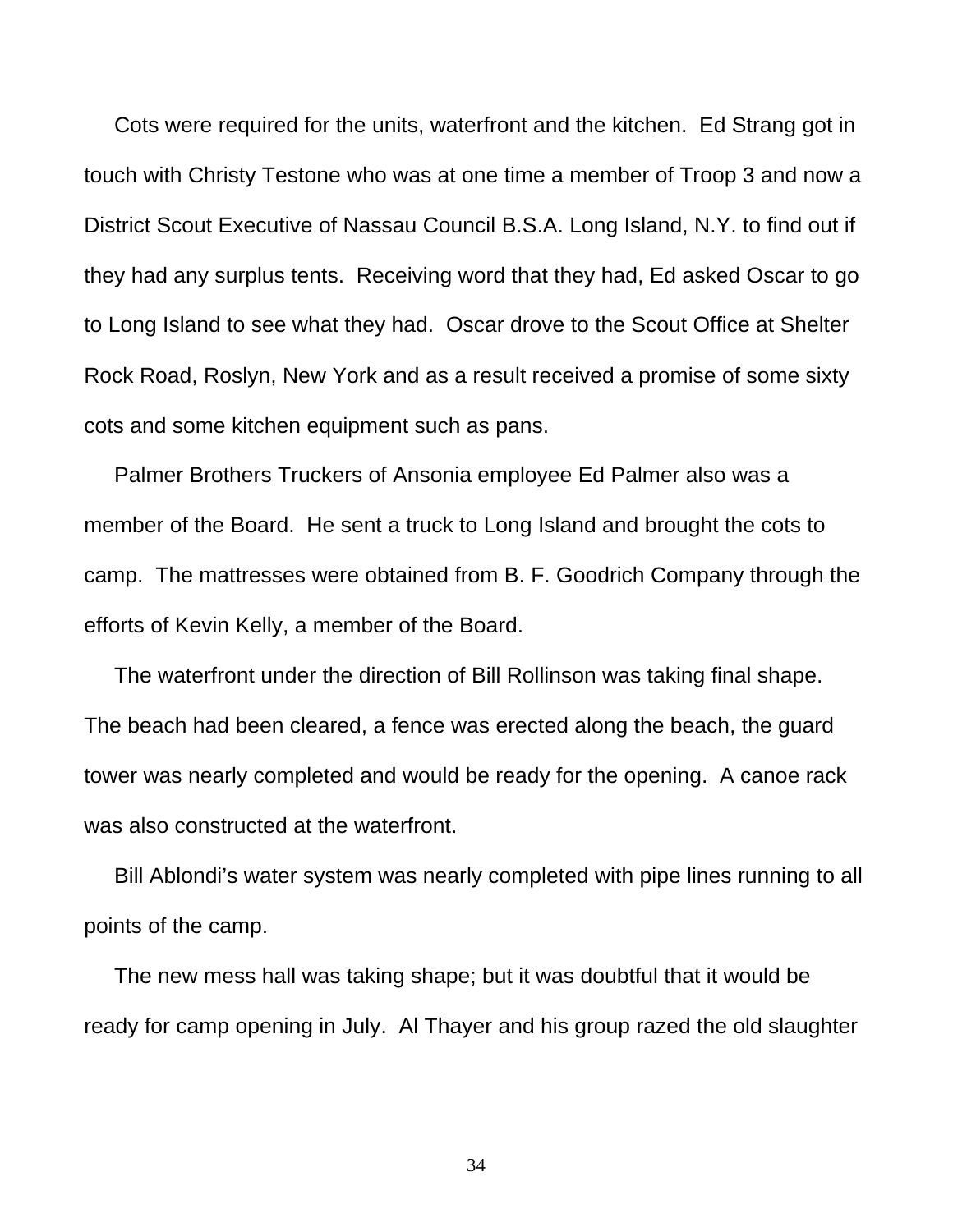Cots were required for the units, waterfront and the kitchen. Ed Strang got in touch with Christy Testone who was at one time a member of Troop 3 and now a District Scout Executive of Nassau Council B.S.A. Long Island, N.Y. to find out if they had any surplus tents. Receiving word that they had, Ed asked Oscar to go to Long Island to see what they had. Oscar drove to the Scout Office at Shelter Rock Road, Roslyn, New York and as a result received a promise of some sixty cots and some kitchen equipment such as pans.

 Palmer Brothers Truckers of Ansonia employee Ed Palmer also was a member of the Board. He sent a truck to Long Island and brought the cots to camp. The mattresses were obtained from B. F. Goodrich Company through the efforts of Kevin Kelly, a member of the Board.

 The waterfront under the direction of Bill Rollinson was taking final shape. The beach had been cleared, a fence was erected along the beach, the guard tower was nearly completed and would be ready for the opening. A canoe rack was also constructed at the waterfront.

 Bill Ablondi's water system was nearly completed with pipe lines running to all points of the camp.

 The new mess hall was taking shape; but it was doubtful that it would be ready for camp opening in July. Al Thayer and his group razed the old slaughter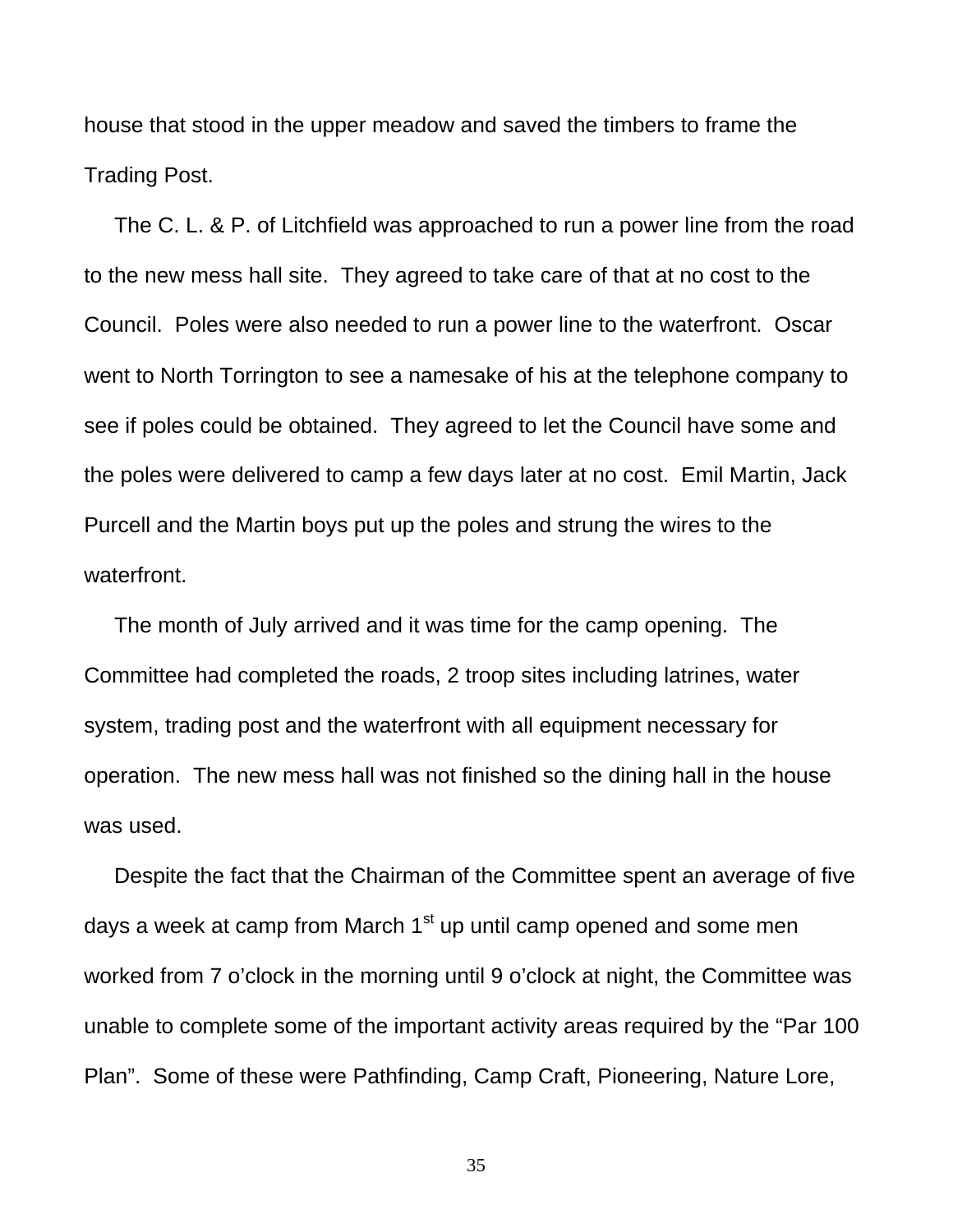house that stood in the upper meadow and saved the timbers to frame the Trading Post.

 The C. L. & P. of Litchfield was approached to run a power line from the road to the new mess hall site. They agreed to take care of that at no cost to the Council. Poles were also needed to run a power line to the waterfront. Oscar went to North Torrington to see a namesake of his at the telephone company to see if poles could be obtained. They agreed to let the Council have some and the poles were delivered to camp a few days later at no cost. Emil Martin, Jack Purcell and the Martin boys put up the poles and strung the wires to the waterfront.

 The month of July arrived and it was time for the camp opening. The Committee had completed the roads, 2 troop sites including latrines, water system, trading post and the waterfront with all equipment necessary for operation. The new mess hall was not finished so the dining hall in the house was used.

 Despite the fact that the Chairman of the Committee spent an average of five days a week at camp from March  $1<sup>st</sup>$  up until camp opened and some men worked from 7 o'clock in the morning until 9 o'clock at night, the Committee was unable to complete some of the important activity areas required by the "Par 100 Plan". Some of these were Pathfinding, Camp Craft, Pioneering, Nature Lore,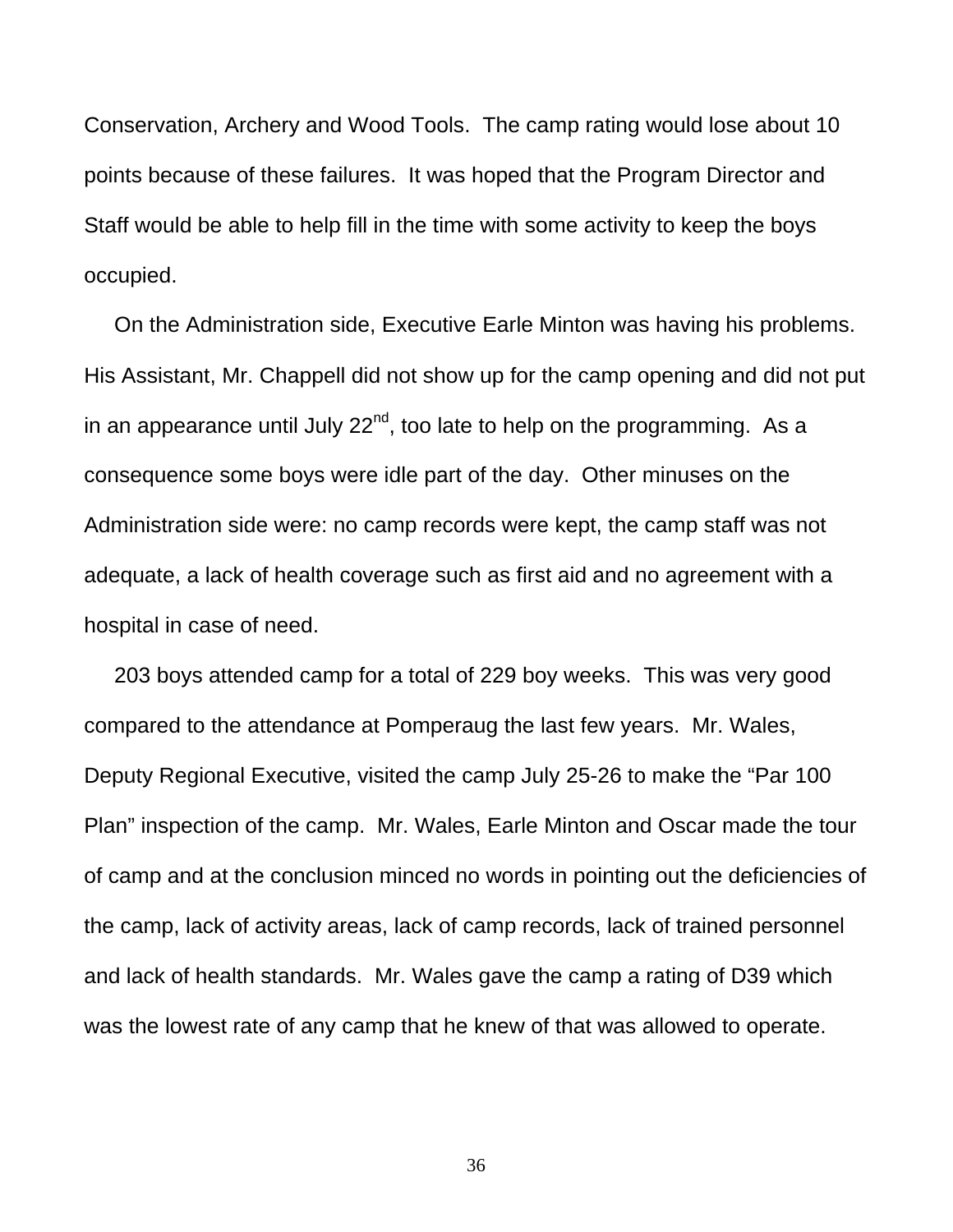Conservation, Archery and Wood Tools. The camp rating would lose about 10 points because of these failures. It was hoped that the Program Director and Staff would be able to help fill in the time with some activity to keep the boys occupied.

 On the Administration side, Executive Earle Minton was having his problems. His Assistant, Mr. Chappell did not show up for the camp opening and did not put in an appearance until July  $22^{nd}$ , too late to help on the programming. As a consequence some boys were idle part of the day. Other minuses on the Administration side were: no camp records were kept, the camp staff was not adequate, a lack of health coverage such as first aid and no agreement with a hospital in case of need.

 203 boys attended camp for a total of 229 boy weeks. This was very good compared to the attendance at Pomperaug the last few years. Mr. Wales, Deputy Regional Executive, visited the camp July 25-26 to make the "Par 100 Plan" inspection of the camp. Mr. Wales, Earle Minton and Oscar made the tour of camp and at the conclusion minced no words in pointing out the deficiencies of the camp, lack of activity areas, lack of camp records, lack of trained personnel and lack of health standards. Mr. Wales gave the camp a rating of D39 which was the lowest rate of any camp that he knew of that was allowed to operate.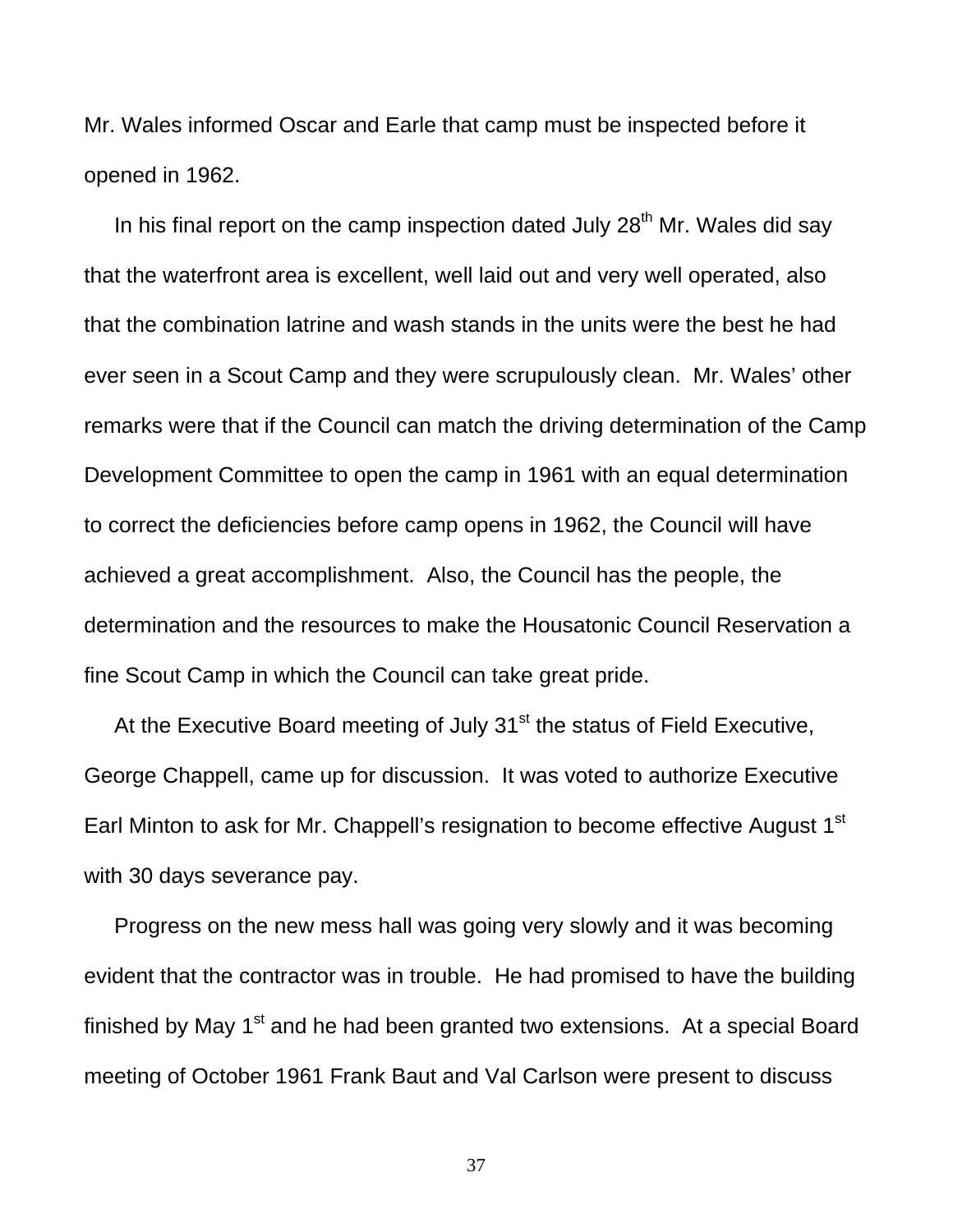Mr. Wales informed Oscar and Earle that camp must be inspected before it opened in 1962.

In his final report on the camp inspection dated July  $28<sup>th</sup>$  Mr. Wales did say that the waterfront area is excellent, well laid out and very well operated, also that the combination latrine and wash stands in the units were the best he had ever seen in a Scout Camp and they were scrupulously clean. Mr. Wales' other remarks were that if the Council can match the driving determination of the Camp Development Committee to open the camp in 1961 with an equal determination to correct the deficiencies before camp opens in 1962, the Council will have achieved a great accomplishment. Also, the Council has the people, the determination and the resources to make the Housatonic Council Reservation a fine Scout Camp in which the Council can take great pride.

At the Executive Board meeting of July  $31<sup>st</sup>$  the status of Field Executive, George Chappell, came up for discussion. It was voted to authorize Executive Earl Minton to ask for Mr. Chappell's resignation to become effective August 1<sup>st</sup> with 30 days severance pay.

 Progress on the new mess hall was going very slowly and it was becoming evident that the contractor was in trouble. He had promised to have the building finished by May  $1<sup>st</sup>$  and he had been granted two extensions. At a special Board meeting of October 1961 Frank Baut and Val Carlson were present to discuss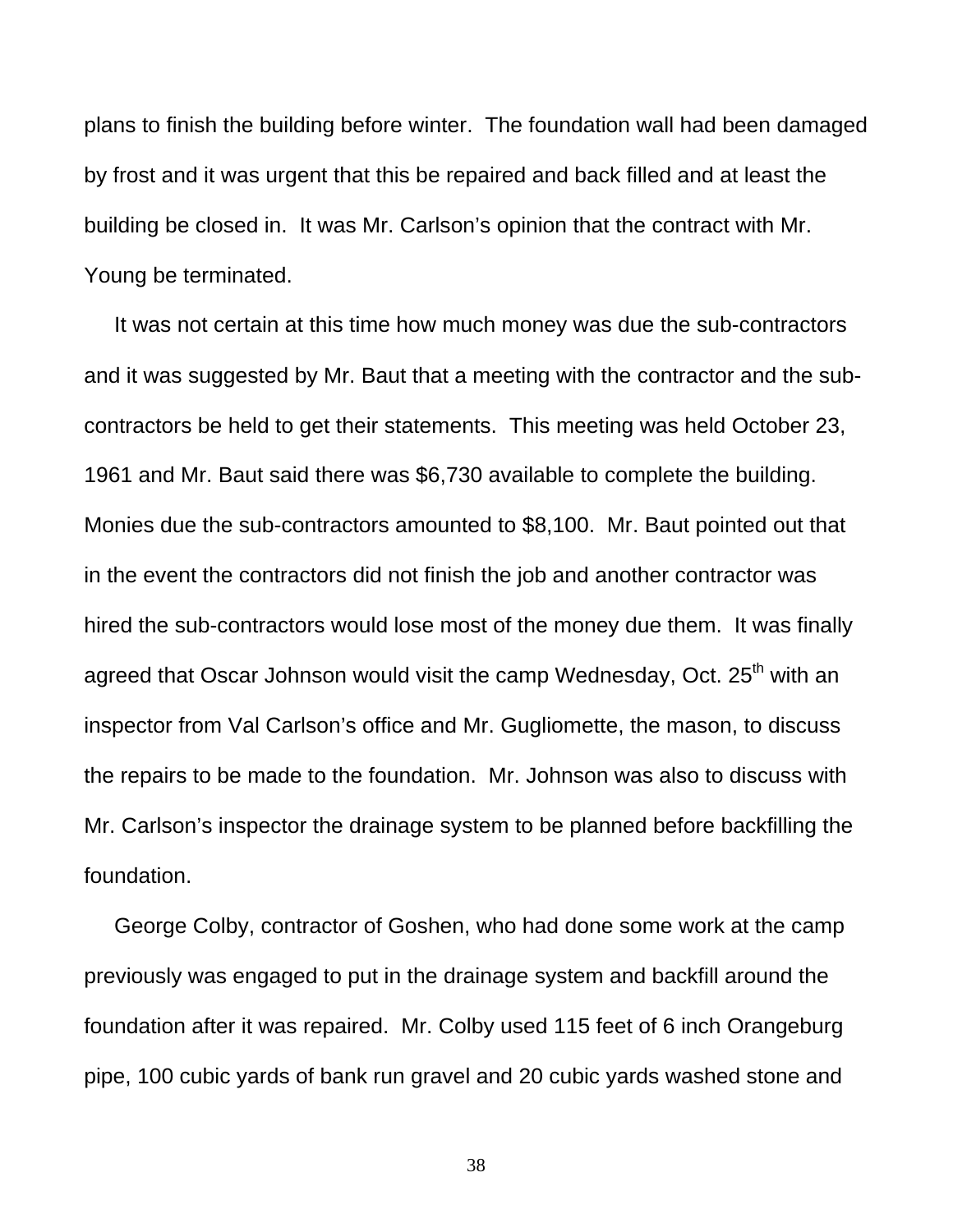plans to finish the building before winter. The foundation wall had been damaged by frost and it was urgent that this be repaired and back filled and at least the building be closed in. It was Mr. Carlson's opinion that the contract with Mr. Young be terminated.

 It was not certain at this time how much money was due the sub-contractors and it was suggested by Mr. Baut that a meeting with the contractor and the subcontractors be held to get their statements. This meeting was held October 23, 1961 and Mr. Baut said there was \$6,730 available to complete the building. Monies due the sub-contractors amounted to \$8,100. Mr. Baut pointed out that in the event the contractors did not finish the job and another contractor was hired the sub-contractors would lose most of the money due them. It was finally agreed that Oscar Johnson would visit the camp Wednesday, Oct. 25<sup>th</sup> with an inspector from Val Carlson's office and Mr. Gugliomette, the mason, to discuss the repairs to be made to the foundation. Mr. Johnson was also to discuss with Mr. Carlson's inspector the drainage system to be planned before backfilling the foundation.

 George Colby, contractor of Goshen, who had done some work at the camp previously was engaged to put in the drainage system and backfill around the foundation after it was repaired. Mr. Colby used 115 feet of 6 inch Orangeburg pipe, 100 cubic yards of bank run gravel and 20 cubic yards washed stone and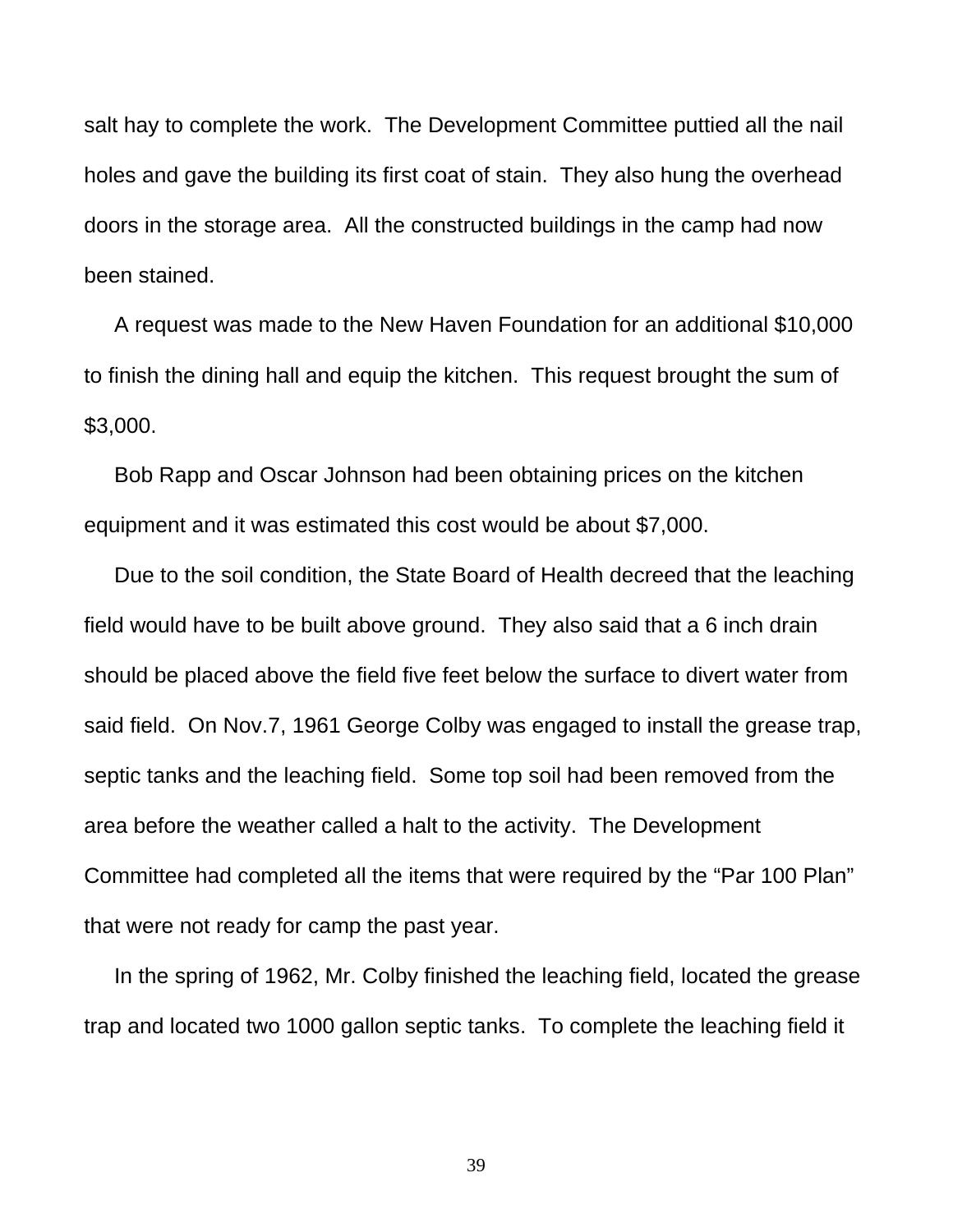salt hay to complete the work. The Development Committee puttied all the nail holes and gave the building its first coat of stain. They also hung the overhead doors in the storage area. All the constructed buildings in the camp had now been stained.

 A request was made to the New Haven Foundation for an additional \$10,000 to finish the dining hall and equip the kitchen. This request brought the sum of \$3,000.

 Bob Rapp and Oscar Johnson had been obtaining prices on the kitchen equipment and it was estimated this cost would be about \$7,000.

 Due to the soil condition, the State Board of Health decreed that the leaching field would have to be built above ground. They also said that a 6 inch drain should be placed above the field five feet below the surface to divert water from said field. On Nov.7, 1961 George Colby was engaged to install the grease trap, septic tanks and the leaching field. Some top soil had been removed from the area before the weather called a halt to the activity. The Development Committee had completed all the items that were required by the "Par 100 Plan" that were not ready for camp the past year.

 In the spring of 1962, Mr. Colby finished the leaching field, located the grease trap and located two 1000 gallon septic tanks. To complete the leaching field it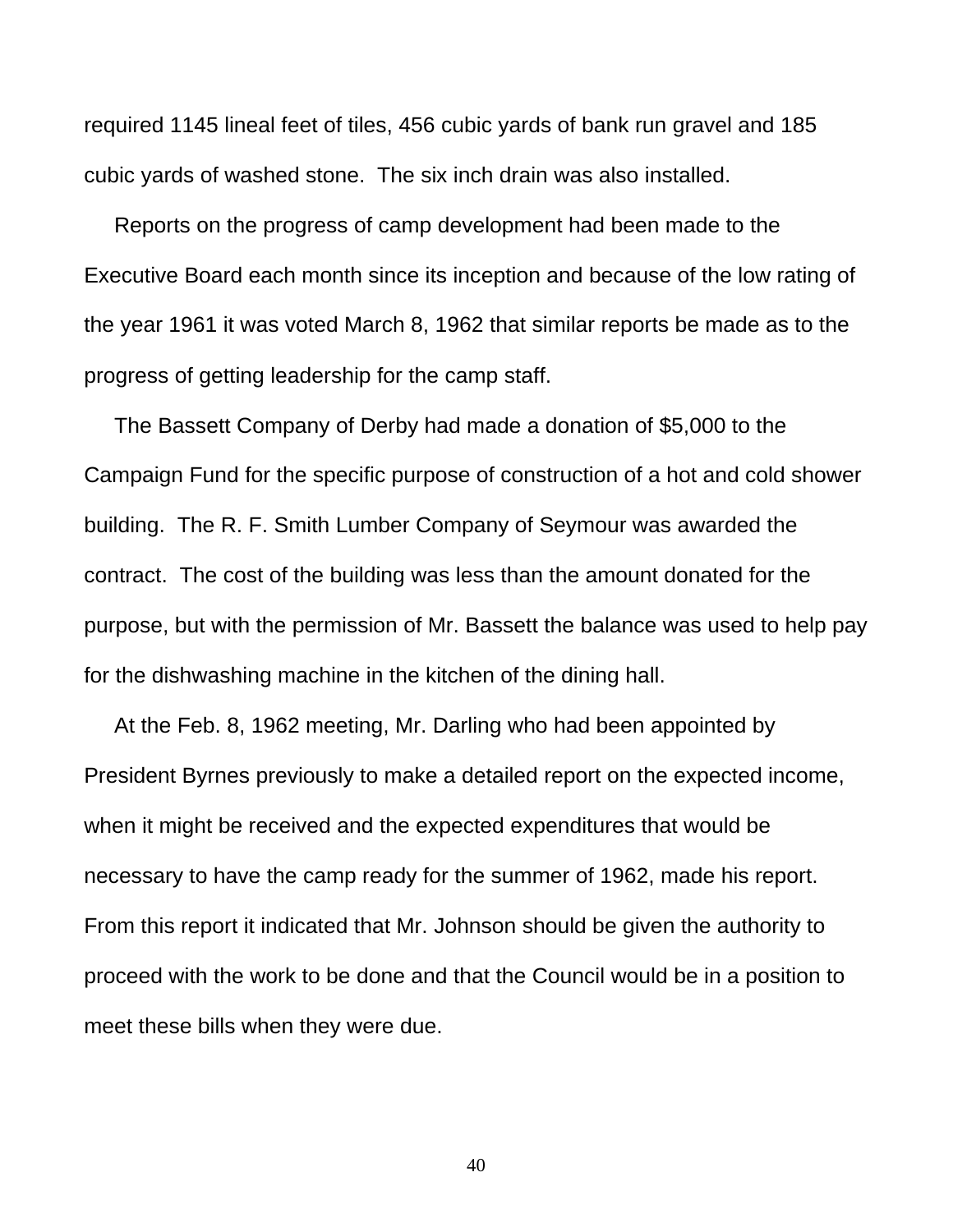required 1145 lineal feet of tiles, 456 cubic yards of bank run gravel and 185 cubic yards of washed stone. The six inch drain was also installed.

 Reports on the progress of camp development had been made to the Executive Board each month since its inception and because of the low rating of the year 1961 it was voted March 8, 1962 that similar reports be made as to the progress of getting leadership for the camp staff.

 The Bassett Company of Derby had made a donation of \$5,000 to the Campaign Fund for the specific purpose of construction of a hot and cold shower building. The R. F. Smith Lumber Company of Seymour was awarded the contract. The cost of the building was less than the amount donated for the purpose, but with the permission of Mr. Bassett the balance was used to help pay for the dishwashing machine in the kitchen of the dining hall.

 At the Feb. 8, 1962 meeting, Mr. Darling who had been appointed by President Byrnes previously to make a detailed report on the expected income, when it might be received and the expected expenditures that would be necessary to have the camp ready for the summer of 1962, made his report. From this report it indicated that Mr. Johnson should be given the authority to proceed with the work to be done and that the Council would be in a position to meet these bills when they were due.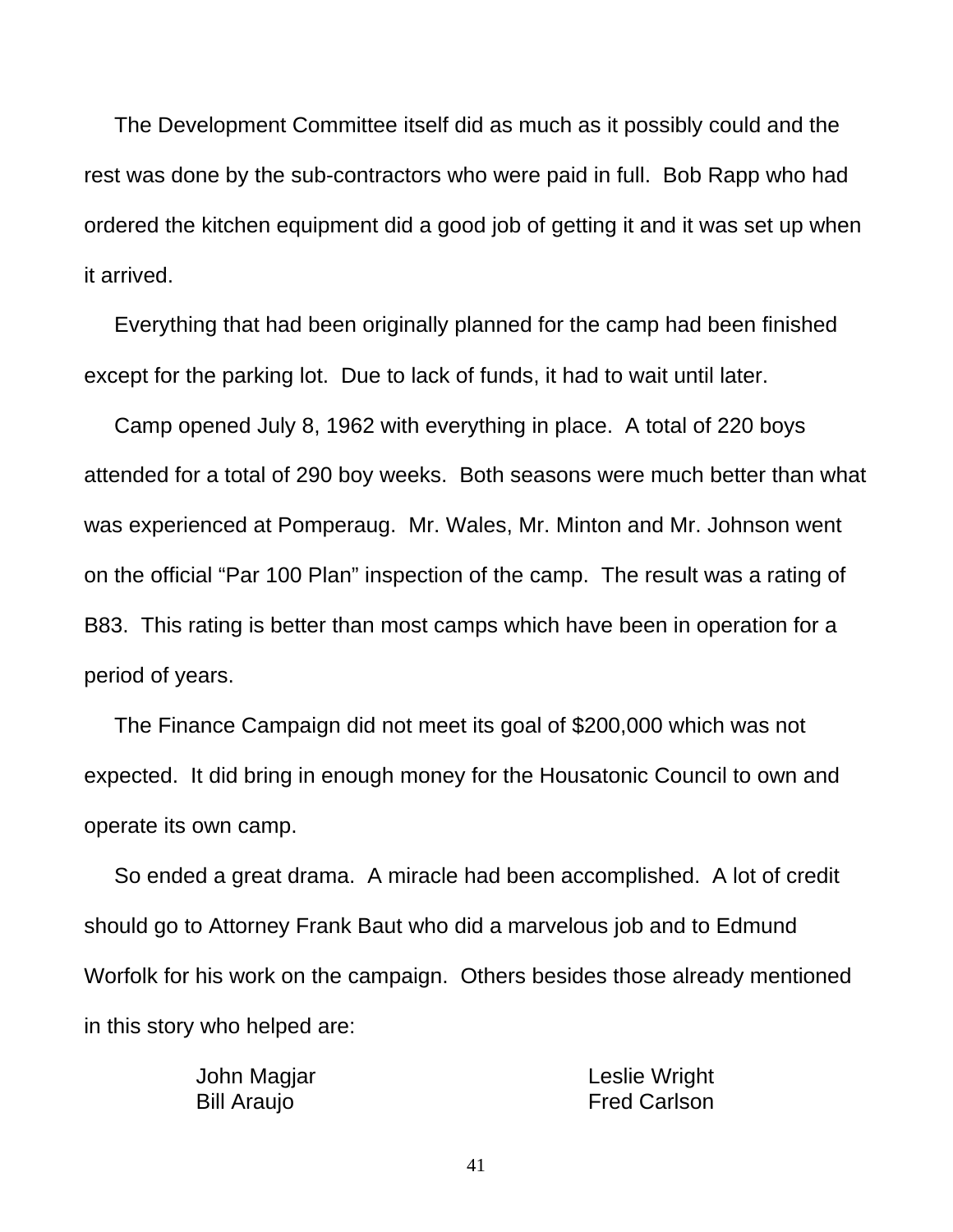The Development Committee itself did as much as it possibly could and the rest was done by the sub-contractors who were paid in full. Bob Rapp who had ordered the kitchen equipment did a good job of getting it and it was set up when it arrived.

 Everything that had been originally planned for the camp had been finished except for the parking lot. Due to lack of funds, it had to wait until later.

 Camp opened July 8, 1962 with everything in place. A total of 220 boys attended for a total of 290 boy weeks. Both seasons were much better than what was experienced at Pomperaug. Mr. Wales, Mr. Minton and Mr. Johnson went on the official "Par 100 Plan" inspection of the camp. The result was a rating of B83. This rating is better than most camps which have been in operation for a period of years.

 The Finance Campaign did not meet its goal of \$200,000 which was not expected. It did bring in enough money for the Housatonic Council to own and operate its own camp.

 So ended a great drama. A miracle had been accomplished. A lot of credit should go to Attorney Frank Baut who did a marvelous job and to Edmund Worfolk for his work on the campaign. Others besides those already mentioned in this story who helped are:

| John Magjar        | Leslie Wright       |
|--------------------|---------------------|
| <b>Bill Araujo</b> | <b>Fred Carlson</b> |